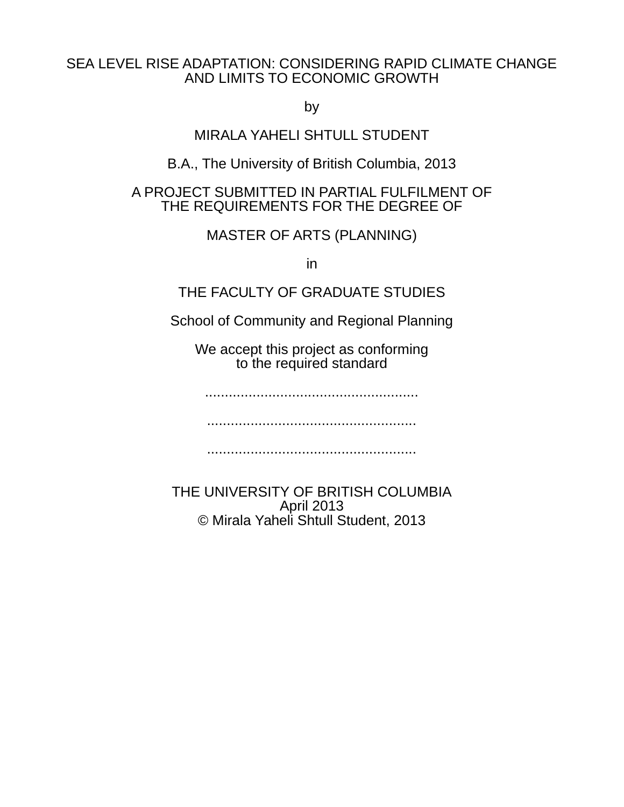### SEA LEVEL RISE ADAPTATION: CONSIDERING RAPID CLIMATE CHANGE AND LIMITS TO ECONOMIC GROWTH

by

MIRALA YAHELI SHTULL STUDENT

B.A., The University of British Columbia, 2013

## A PROJECT SUBMITTED IN PARTIAL FULFILMENT OF THE REQUIREMENTS FOR THE DEGREE OF

MASTER OF ARTS (PLANNING)

in

# THE FACULTY OF GRADUATE STUDIES

School of Community and Regional Planning

We accept this project as conforming to the required standard

......................................................

.....................................................

.....................................................

THE UNIVERSITY OF BRITISH COLUMBIA April 2013 © Mirala Yaheli Shtull Student, 2013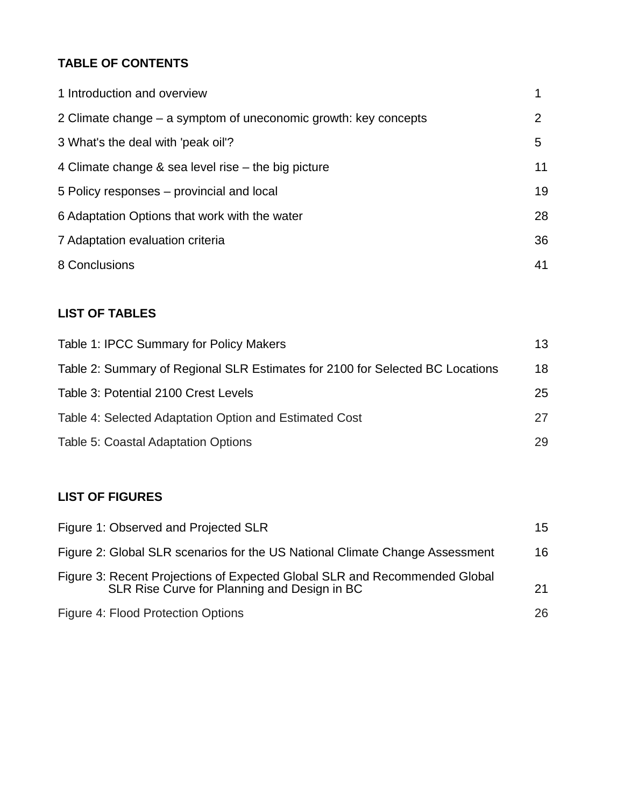## **TABLE OF CONTENTS**

| 1 Introduction and overview                                     | 1  |
|-----------------------------------------------------------------|----|
| 2 Climate change – a symptom of uneconomic growth: key concepts | 2  |
| 3 What's the deal with 'peak oil'?                              | 5  |
| 4 Climate change $\&$ sea level rise – the big picture          | 11 |
| 5 Policy responses – provincial and local                       | 19 |
| 6 Adaptation Options that work with the water                   | 28 |
| 7 Adaptation evaluation criteria                                | 36 |
| 8 Conclusions                                                   | 41 |

## **LIST OF TABLES**

| Table 1: IPCC Summary for Policy Makers                                       | 13 |
|-------------------------------------------------------------------------------|----|
| Table 2: Summary of Regional SLR Estimates for 2100 for Selected BC Locations | 18 |
| Table 3: Potential 2100 Crest Levels                                          | 25 |
| Table 4: Selected Adaptation Option and Estimated Cost                        | 27 |
| Table 5: Coastal Adaptation Options                                           | 29 |

### **LIST OF FIGURES**

| Figure 1: Observed and Projected SLR                                                                                       | 15 |
|----------------------------------------------------------------------------------------------------------------------------|----|
| Figure 2: Global SLR scenarios for the US National Climate Change Assessment                                               | 16 |
| Figure 3: Recent Projections of Expected Global SLR and Recommended Global<br>SLR Rise Curve for Planning and Design in BC | 21 |
| Figure 4: Flood Protection Options                                                                                         | 26 |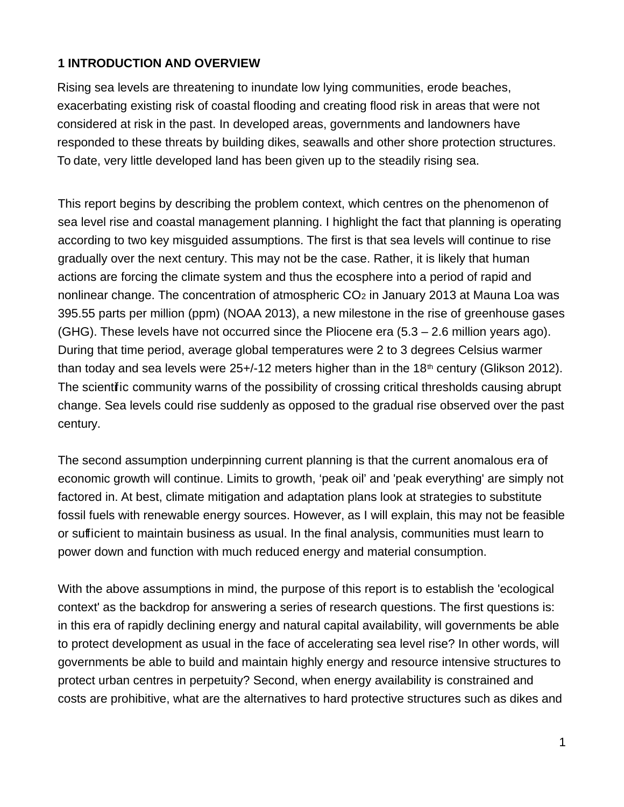### **1 INTRODUCTION AND OVERVIEW**

Rising sea levels are threatening to inundate low lying communities, erode beaches, exacerbating existing risk of coastal flooding and creating flood risk in areas that were not considered at risk in the past. In developed areas, governments and landowners have responded to these threats by building dikes, seawalls and other shore protection structures. To date, very little developed land has been given up to the steadily rising sea.

This report begins by describing the problem context, which centres on the phenomenon of sea level rise and coastal management planning. I highlight the fact that planning is operating according to two key misguided assumptions. The first is that sea levels will continue to rise gradually over the next century. This may not be the case. Rather, it is likely that human actions are forcing the climate system and thus the ecosphere into a period of rapid and nonlinear change. The concentration of atmospheric CO<sub>2</sub> in January 2013 at Mauna Loa was 395.55 parts per million (ppm) (NOAA 2013), a new milestone in the rise of greenhouse gases (GHG). These levels have not occurred since the Pliocene era  $(5.3 - 2.6$  million years ago). During that time period, average global temperatures were 2 to 3 degrees Celsius warmer than today and sea levels were  $25+/12$  meters higher than in the 18<sup>th</sup> century (Glikson 2012). The scientific community warns of the possibility of crossing critical thresholds causing abrupt change. Sea levels could rise suddenly as opposed to the gradual rise observed over the past century.

The second assumption underpinning current planning is that the current anomalous era of economic growth will continue. Limits to growth, 'peak oil' and 'peak everything' are simply not factored in. At best, climate mitigation and adaptation plans look at strategies to substitute fossil fuels with renewable energy sources. However, as I will explain, this may not be feasible or sufficient to maintain business as usual. In the final analysis, communities must learn to power down and function with much reduced energy and material consumption.

With the above assumptions in mind, the purpose of this report is to establish the 'ecological context' as the backdrop for answering a series of research questions. The first questions is: in this era of rapidly declining energy and natural capital availability, will governments be able to protect development as usual in the face of accelerating sea level rise? In other words, will governments be able to build and maintain highly energy and resource intensive structures to protect urban centres in perpetuity? Second, when energy availability is constrained and costs are prohibitive, what are the alternatives to hard protective structures such as dikes and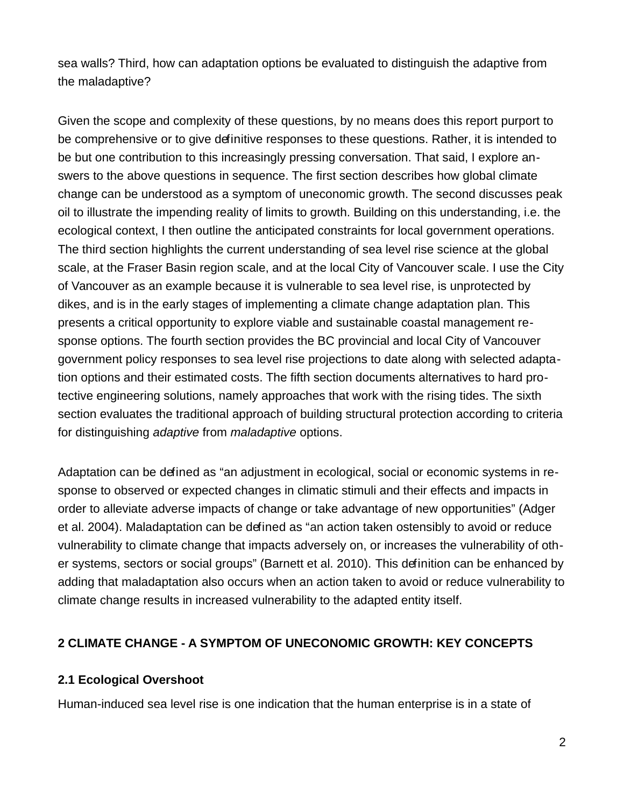sea walls? Third, how can adaptation options be evaluated to distinguish the adaptive from the maladaptive?

Given the scope and complexity of these questions, by no means does this report purport to be comprehensive or to give definitive responses to these questions. Rather, it is intended to be but one contribution to this increasingly pressing conversation. That said, I explore answers to the above questions in sequence. The first section describes how global climate change can be understood as a symptom of uneconomic growth. The second discusses peak oil to illustrate the impending reality of limits to growth. Building on this understanding, i.e. the ecological context, I then outline the anticipated constraints for local government operations. The third section highlights the current understanding of sea level rise science at the global scale, at the Fraser Basin region scale, and at the local City of Vancouver scale. I use the City of Vancouver as an example because it is vulnerable to sea level rise, is unprotected by dikes, and is in the early stages of implementing a climate change adaptation plan. This presents a critical opportunity to explore viable and sustainable coastal management response options. The fourth section provides the BC provincial and local City of Vancouver government policy responses to sea level rise projections to date along with selected adaptation options and their estimated costs. The fifth section documents alternatives to hard protective engineering solutions, namely approaches that work with the rising tides. The sixth section evaluates the traditional approach of building structural protection according to criteria for distinguishing *adaptive* from *maladaptive* options.

Adaptation can be defined as "an adjustment in ecological, social or economic systems in response to observed or expected changes in climatic stimuli and their effects and impacts in order to alleviate adverse impacts of change or take advantage of new opportunities" (Adger et al. 2004). Maladaptation can be defined as "an action taken ostensibly to avoid or reduce vulnerability to climate change that impacts adversely on, or increases the vulnerability of other systems, sectors or social groups" (Barnett et al. 2010). This definition can be enhanced by adding that maladaptation also occurs when an action taken to avoid or reduce vulnerability to climate change results in increased vulnerability to the adapted entity itself.

#### **2 CLIMATE CHANGE - A SYMPTOM OF UNECONOMIC GROWTH: KEY CONCEPTS**

#### **2.1 Ecological Overshoot**

Human-induced sea level rise is one indication that the human enterprise is in a state of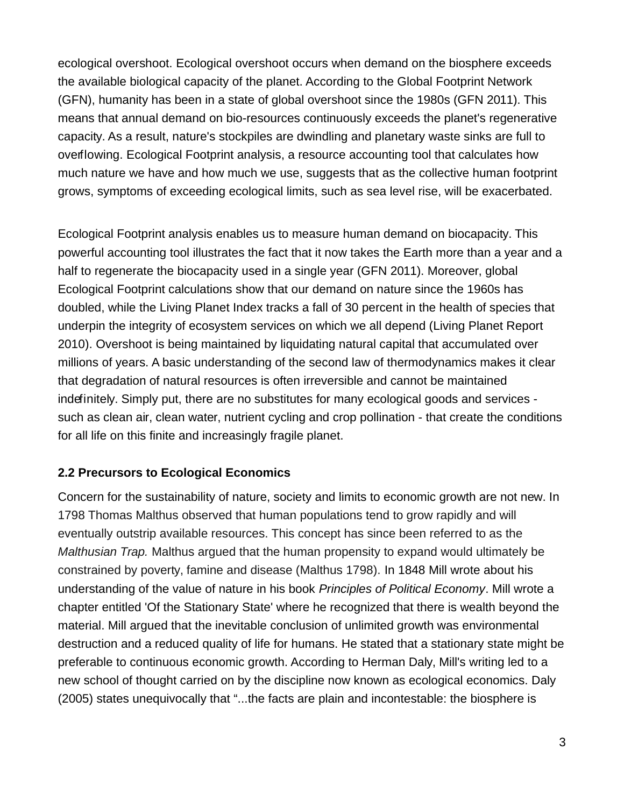ecological overshoot. Ecological overshoot occurs when demand on the biosphere exceeds the available biological capacity of the planet. According to the Global Footprint Network (GFN), humanity has been in a state of global overshoot since the 1980s (GFN 2011). This means that annual demand on bio-resources continuously exceeds the planet's regenerative capacity. As a result, nature's stockpiles are dwindling and planetary waste sinks are full to overflowing. Ecological Footprint analysis, a resource accounting tool that calculates how much nature we have and how much we use, suggests that as the collective human footprint grows, symptoms of exceeding ecological limits, such as sea level rise, will be exacerbated.

Ecological Footprint analysis enables us to measure human demand on biocapacity. This powerful accounting tool illustrates the fact that it now takes the Earth more than a year and a half to regenerate the biocapacity used in a single year (GFN 2011). Moreover, global Ecological Footprint calculations show that our demand on nature since the 1960s has doubled, while the Living Planet Index tracks a fall of 30 percent in the health of species that underpin the integrity of ecosystem services on which we all depend (Living Planet Report 2010). Overshoot is being maintained by liquidating natural capital that accumulated over millions of years. A basic understanding of the second law of thermodynamics makes it clear that degradation of natural resources is often irreversible and cannot be maintained indefinitely. Simply put, there are no substitutes for many ecological goods and services such as clean air, clean water, nutrient cycling and crop pollination - that create the conditions for all life on this finite and increasingly fragile planet.

#### **2.2 Precursors to Ecological Economics**

Concern for the sustainability of nature, society and limits to economic growth are not new. In 1798 Thomas Malthus observed that human populations tend to grow rapidly and will eventually outstrip available resources. This concept has since been referred to as the Malthusian Trap. Malthus argued that the human propensity to expand would ultimately be constrained by poverty, famine and disease (Malthus 1798). In 1848 Mill wrote about his understanding of the value of nature in his book *Principles of Political Economy*. Mill wrote a chapter entitled 'Of the Stationary State' where he recognized that there is wealth beyond the material. Mill argued that the inevitable conclusion of unlimited growth was environmental destruction and a reduced quality of life for humans. He stated that a stationary state might be preferable to continuous economic growth. According to Herman Daly, Mill's writing led to a new school of thought carried on by the discipline now known as ecological economics. Daly (2005) states unequivocally that "...the facts are plain and incontestable: the biosphere is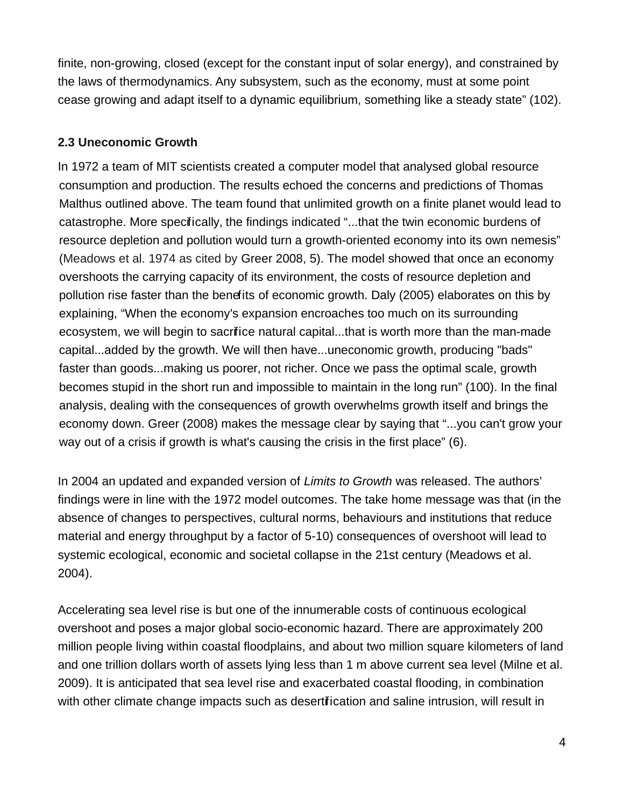finite, non-growing, closed (except for the constant input of solar energy), and constrained by the laws of thermodynamics. Any subsystem, such as the economy, must at some point cease growing and adapt itself to a dynamic equilibrium, something like a steady state" (102).

#### **2.3 Uneconomic Growth**

In 1972 a team of MIT scientists created a computer model that analysed global resource consumption and production. The results echoed the concerns and predictions of Thomas Malthus outlined above. The team found that unlimited growth on a finite planet would lead to catastrophe. More specifically, the findings indicated "...that the twin economic burdens of resource depletion and pollution would turn a growth-oriented economy into its own nemesis" (Meadows et al. 1974 as cited by Greer 2008, 5). The model showed that once an economy overshoots the carrying capacity of its environment, the costs of resource depletion and pollution rise faster than the benefits of economic growth. Daly (2005) elaborates on this by explaining, "When the economy's expansion encroaches too much on its surrounding ecosystem, we will begin to sacrifice natural capital...that is worth more than the man-made capital...added by the growth. We will then have...uneconomic growth, producing "bads" faster than goods...making us poorer, not richer. Once we pass the optimal scale, growth becomes stupid in the short run and impossible to maintain in the long run" (100). In the final analysis, dealing with the consequences of growth overwhelms growth itself and brings the economy down. Greer (2008) makes the message clear by saying that "...you can't grow your way out of a crisis if growth is what's causing the crisis in the first place" (6).

In 2004 an updated and expanded version of Limits to Growth was released. The authors' findings were in line with the 1972 model outcomes. The take home message was that (in the absence of changes to perspectives, cultural norms, behaviours and institutions that reduce material and energy throughput by a factor of 5-10) consequences of overshoot will lead to systemic ecological, economic and societal collapse in the 21st century (Meadows et al. 2004).

Accelerating sea level rise is but one of the innumerable costs of continuous ecological overshoot and poses a major global socio-economic hazard. There are approximately 200 million people living within coastal floodplains, and about two million square kilometers of land and one trillion dollars worth of assets lying less than 1 m above current sea level (Milne et al. 2009). It is anticipated that sea level rise and exacerbated coastal flooding, in combination with other climate change impacts such as desertification and saline intrusion, will result in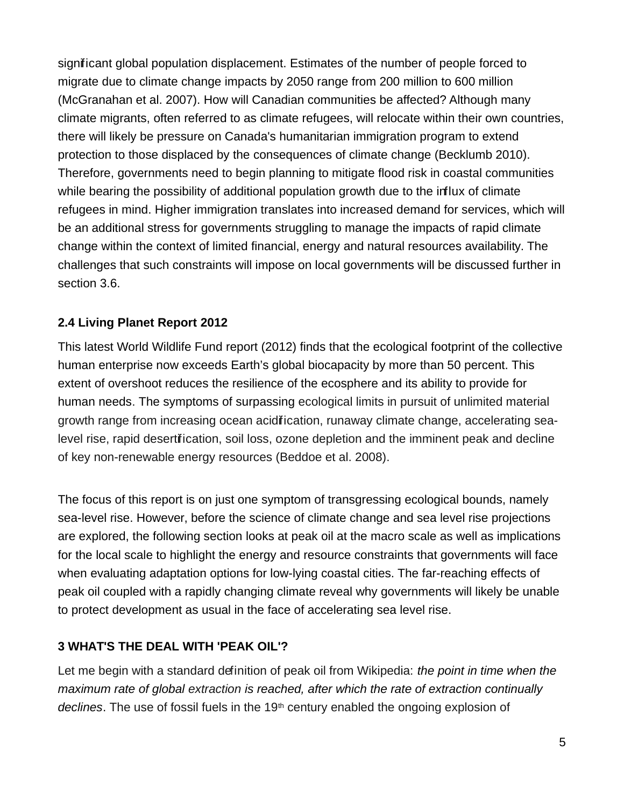significant global population displacement. Estimates of the number of people forced to migrate due to climate change impacts by 2050 range from 200 million to 600 million (McGranahan et al. 2007). How will Canadian communities be affected? Although many climate migrants, often referred to as climate refugees, will relocate within their own countries, there will likely be pressure on Canada's humanitarian immigration program to extend protection to those displaced by the consequences of climate change (Becklumb 2010). Therefore, governments need to begin planning to mitigate flood risk in coastal communities while bearing the possibility of additional population growth due to the influx of climate refugees in mind. Higher immigration translates into increased demand for services, which will be an additional stress for governments struggling to manage the impacts of rapid climate change within the context of limited financial, energy and natural resources availability. The challenges that such constraints will impose on local governments will be discussed further in section 3.6.

### **2.4 Living Planet Report 2012**

This latest World Wildlife Fund report (2012) finds that the ecological footprint of the collective human enterprise now exceeds Earth's global biocapacity by more than 50 percent. This extent of overshoot reduces the resilience of the ecosphere and its ability to provide for human needs. The symptoms of surpassing ecological limits in pursuit of unlimited material growth range from increasing ocean acidification, runaway climate change, accelerating sealevel rise, rapid desertification, soil loss, ozone depletion and the imminent peak and decline of key non-renewable energy resources (Beddoe et al. 2008).

The focus of this report is on just one symptom of transgressing ecological bounds, namely sea-level rise. However, before the science of climate change and sea level rise projections are explored, the following section looks at peak oil at the macro scale as well as implications for the local scale to highlight the energy and resource constraints that governments will face when evaluating adaptation options for low-lying coastal cities. The far-reaching effects of peak oil coupled with a rapidly changing climate reveal why governments will likely be unable to protect development as usual in the face of accelerating sea level rise.

### **3 WHAT'S THE DEAL WITH 'PEAK OIL'?**

Let me begin with a standard definition of peak oil from Wikipedia: the point in time when the maximum rate of global extraction is reached, after which the rate of extraction continually declines. The use of fossil fuels in the  $19<sup>th</sup>$  century enabled the ongoing explosion of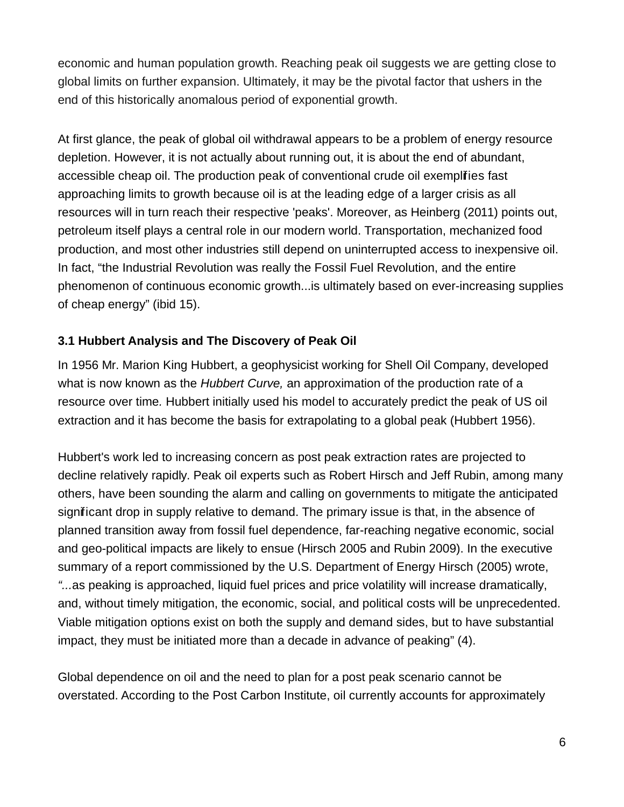economic and human population growth. Reaching peak oil suggests we are getting close to global limits on further expansion. Ultimately, it may be the pivotal factor that ushers in the end of this historically anomalous period of exponential growth.

At first glance, the peak of global oil withdrawal appears to be a problem of energy resource depletion. However, it is not actually about running out, it is about the end of abundant, accessible cheap oil. The production peak of conventional crude oil exemplifies fast approaching limits to growth because oil is at the leading edge of a larger crisis as all resources will in turn reach their respective 'peaks'. Moreover, as Heinberg (2011) points out, petroleum itself plays a central role in our modern world. Transportation, mechanized food production, and most other industries still depend on uninterrupted access to inexpensive oil. In fact, "the Industrial Revolution was really the Fossil Fuel Revolution, and the entire phenomenon of continuous economic growth...is ultimately based on ever-increasing supplies of cheap energy" (ibid 15).

#### **3.1 Hubbert Analysis and The Discovery of Peak Oil**

In 1956 Mr. Marion King Hubbert, a geophysicist working for Shell Oil Company, developed what is now known as the Hubbert Curve, an approximation of the production rate of a resource over time. Hubbert initially used his model to accurately predict the peak of US oil extraction and it has become the basis for extrapolating to a global peak (Hubbert 1956).

Hubbert's work led to increasing concern as post peak extraction rates are projected to decline relatively rapidly. Peak oil experts such as Robert Hirsch and Jeff Rubin, among many others, have been sounding the alarm and calling on governments to mitigate the anticipated significant drop in supply relative to demand. The primary issue is that, in the absence of planned transition away from fossil fuel dependence, far-reaching negative economic, social and geo-political impacts are likely to ensue (Hirsch 2005 and Rubin 2009). In the executive summary of a report commissioned by the U.S. Department of Energy Hirsch (2005) wrote, "...as peaking is approached, liquid fuel prices and price volatility will increase dramatically, and, without timely mitigation, the economic, social, and political costs will be unprecedented. Viable mitigation options exist on both the supply and demand sides, but to have substantial impact, they must be initiated more than a decade in advance of peaking" (4).

Global dependence on oil and the need to plan for a post peak scenario cannot be overstated. According to the Post Carbon Institute, oil currently accounts for approximately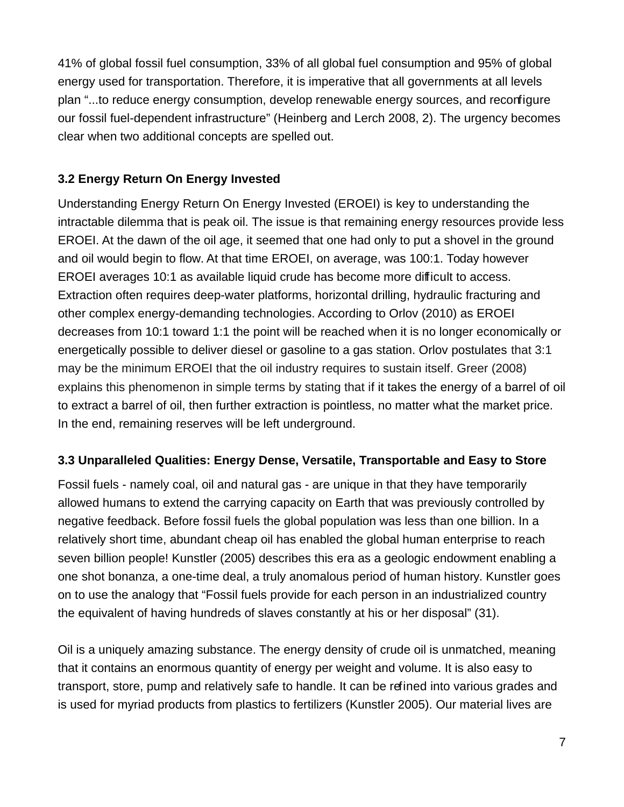41% of global fossil fuel consumption, 33% of all global fuel consumption and 95% of global energy used for transportation. Therefore, it is imperative that all governments at all levels plan "...to reduce energy consumption, develop renewable energy sources, and reconfigure our fossil fuel-dependent infrastructure" (Heinberg and Lerch 2008, 2). The urgency becomes clear when two additional concepts are spelled out.

### **3.2 Energy Return On Energy Invested**

Understanding Energy Return On Energy Invested (EROEI) is key to understanding the intractable dilemma that is peak oil. The issue is that remaining energy resources provide less EROEI. At the dawn of the oil age, it seemed that one had only to put a shovel in the ground and oil would begin to flow. At that time EROEI, on average, was 100:1. Today however EROEI averages 10:1 as available liquid crude has become more difficult to access. Extraction often requires deep-water platforms, horizontal drilling, hydraulic fracturing and other complex energy-demanding technologies. According to Orlov (2010) as EROEI decreases from 10:1 toward 1:1 the point will be reached when it is no longer economically or energetically possible to deliver diesel or gasoline to a gas station. Orlov postulates that 3:1 may be the minimum EROEI that the oil industry requires to sustain itself. Greer (2008) explains this phenomenon in simple terms by stating that if it takes the energy of a barrel of oil to extract a barrel of oil, then further extraction is pointless, no matter what the market price. In the end, remaining reserves will be left underground.

### **3.3 Unparalleled Qualities: Energy Dense, Versatile, Transportable and Easy to Store**

Fossil fuels - namely coal, oil and natural gas - are unique in that they have temporarily allowed humans to extend the carrying capacity on Earth that was previously controlled by negative feedback. Before fossil fuels the global population was less than one billion. In a relatively short time, abundant cheap oil has enabled the global human enterprise to reach seven billion people! Kunstler (2005) describes this era as a geologic endowment enabling a one shot bonanza, a one-time deal, a truly anomalous period of human history. Kunstler goes on to use the analogy that "Fossil fuels provide for each person in an industrialized country the equivalent of having hundreds of slaves constantly at his or her disposal" (31).

Oil is a uniquely amazing substance. The energy density of crude oil is unmatched, meaning that it contains an enormous quantity of energy per weight and volume. It is also easy to transport, store, pump and relatively safe to handle. It can be refined into various grades and is used for myriad products from plastics to fertilizers (Kunstler 2005). Our material lives are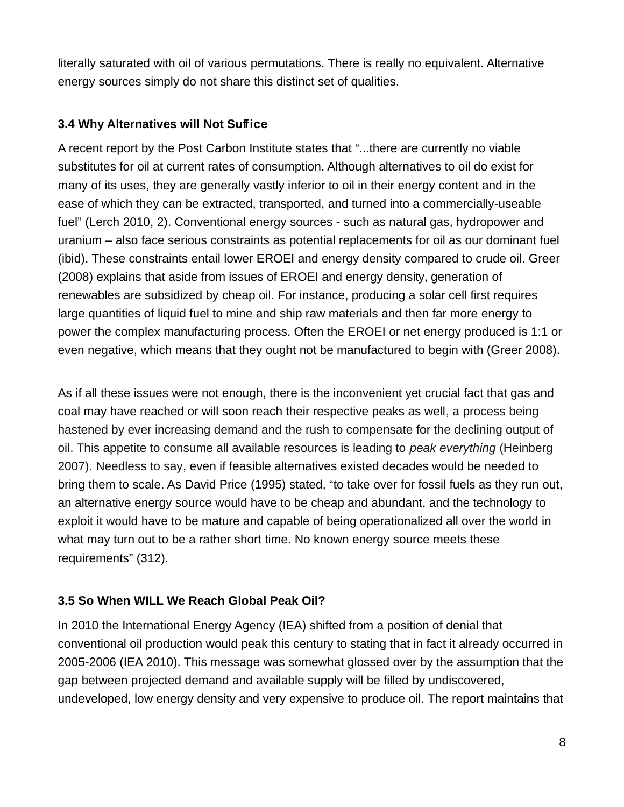literally saturated with oil of various permutations. There is really no equivalent. Alternative energy sources simply do not share this distinct set of qualities.

#### **3.4 Why Alternatives will Not Suffice**

A recent report by the Post Carbon Institute states that "...there are currently no viable substitutes for oil at current rates of consumption. Although alternatives to oil do exist for many of its uses, they are generally vastly inferior to oil in their energy content and in the ease of which they can be extracted, transported, and turned into a commercially-useable fuel" (Lerch 2010, 2). Conventional energy sources - such as natural gas, hydropower and uranium – also face serious constraints as potential replacements for oil as our dominant fuel (ibid). These constraints entail lower EROEI and energy density compared to crude oil. Greer (2008) explains that aside from issues of EROEI and energy density, generation of renewables are subsidized by cheap oil. For instance, producing a solar cell first requires large quantities of liquid fuel to mine and ship raw materials and then far more energy to power the complex manufacturing process. Often the EROEI or net energy produced is 1:1 or even negative, which means that they ought not be manufactured to begin with (Greer 2008).

As if all these issues were not enough, there is the inconvenient yet crucial fact that gas and coal may have reached or will soon reach their respective peaks as well, a process being hastened by ever increasing demand and the rush to compensate for the declining output of oil. This appetite to consume all available resources is leading to peak everything (Heinberg 2007). Needless to say, even if feasible alternatives existed decades would be needed to bring them to scale. As David Price (1995) stated, "to take over for fossil fuels as they run out, an alternative energy source would have to be cheap and abundant, and the technology to exploit it would have to be mature and capable of being operationalized all over the world in what may turn out to be a rather short time. No known energy source meets these requirements" (312).

#### **3.5 So When WILL We Reach Global Peak Oil?**

In 2010 the International Energy Agency (IEA) shifted from a position of denial that conventional oil production would peak this century to stating that in fact it already occurred in 2005-2006 (IEA 2010). This message was somewhat glossed over by the assumption that the gap between projected demand and available supply will be filled by undiscovered, undeveloped, low energy density and very expensive to produce oil. The report maintains that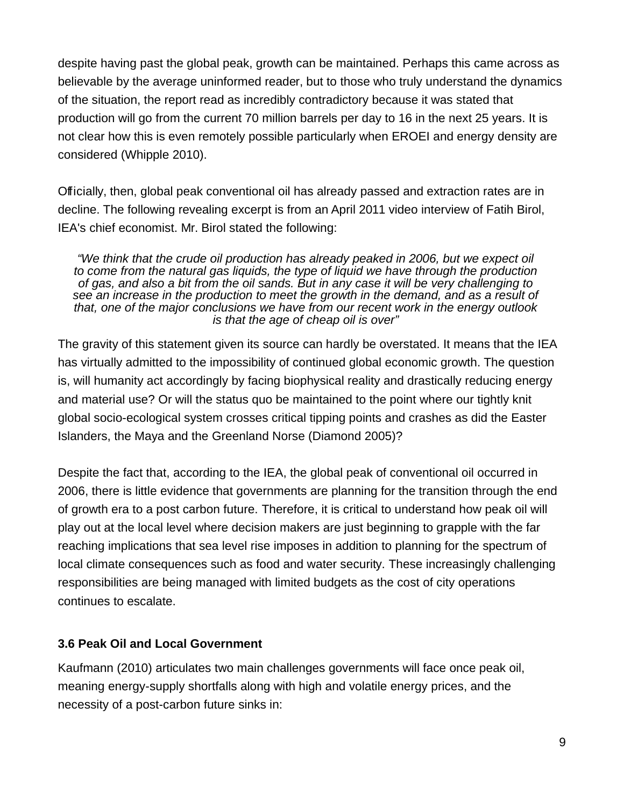despite having past the global peak, growth can be maintained. Perhaps this came across as believable by the average uninformed reader, but to those who truly understand the dynamics of the situation, the report read as incredibly contradictory because it was stated that production will go from the current 70 million barrels per day to 16 in the next 25 years. It is not clear how this is even remotely possible particularly when EROEI and energy density are considered (Whipple 2010).

Officially, then, global peak conventional oil has already passed and extraction rates are in decline. The following revealing excerpt is from an April 2011 video interview of Fatih Birol, IEA's chief economist. Mr. Birol stated the following:

"We think that the crude oil production has already peaked in 2006, but we expect oil to come from the natural gas liquids, the type of liquid we have through the production of gas, and also a bit from the oil sands. But in any case it will be very challenging to see an increase in the production to meet the growth in the demand, and as a result of that, one of the major conclusions we have from our recent work in the energy outlook is that the age of cheap oil is over"

The gravity of this statement given its source can hardly be overstated. It means that the IEA has virtually admitted to the impossibility of continued global economic growth. The question is, will humanity act accordingly by facing biophysical reality and drastically reducing energy and material use? Or will the status quo be maintained to the point where our tightly knit global socio-ecological system crosses critical tipping points and crashes as did the Easter Islanders, the Maya and the Greenland Norse (Diamond 2005)?

Despite the fact that, according to the IEA, the global peak of conventional oil occurred in 2006, there is little evidence that governments are planning for the transition through the end of growth era to a post carbon future. Therefore, it is critical to understand how peak oil will play out at the local level where decision makers are just beginning to grapple with the far reaching implications that sea level rise imposes in addition to planning for the spectrum of local climate consequences such as food and water security. These increasingly challenging responsibilities are being managed with limited budgets as the cost of city operations continues to escalate.

#### **3.6 Peak Oil and Local Government**

Kaufmann (2010) articulates two main challenges governments will face once peak oil, meaning energy-supply shortfalls along with high and volatile energy prices, and the necessity of a post-carbon future sinks in: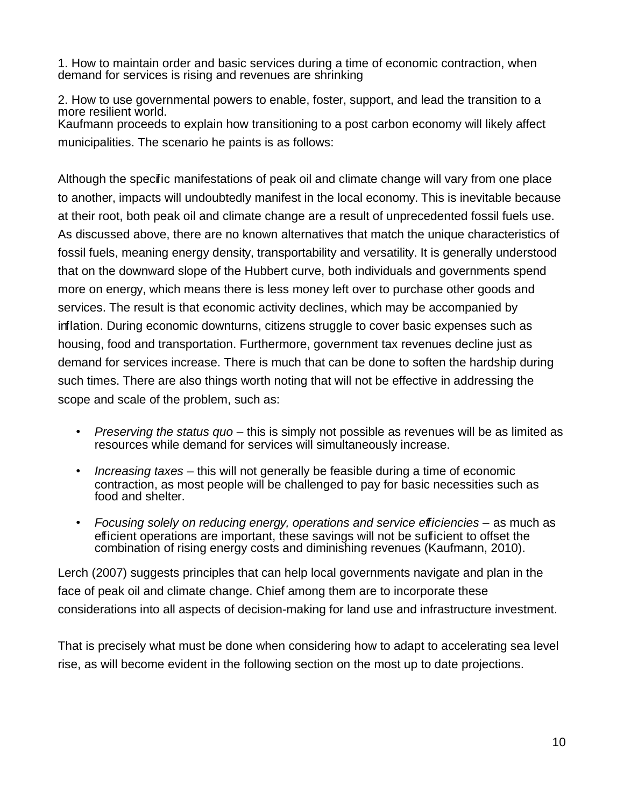1. How to maintain order and basic services during a time of economic contraction, when demand for services is rising and revenues are shrinking

2. How to use governmental powers to enable, foster, support, and lead the transition to a more resilient world. Kaufmann proceeds to explain how transitioning to a post carbon economy will likely affect municipalities. The scenario he paints is as follows:

Although the specific manifestations of peak oil and climate change will vary from one place to another, impacts will undoubtedly manifest in the local economy. This is inevitable because at their root, both peak oil and climate change are a result of unprecedented fossil fuels use. As discussed above, there are no known alternatives that match the unique characteristics of fossil fuels, meaning energy density, transportability and versatility. It is generally understood that on the downward slope of the Hubbert curve, both individuals and governments spend more on energy, which means there is less money left over to purchase other goods and services. The result is that economic activity declines, which may be accompanied by inflation. During economic downturns, citizens struggle to cover basic expenses such as housing, food and transportation. Furthermore, government tax revenues decline just as demand for services increase. There is much that can be done to soften the hardship during such times. There are also things worth noting that will not be effective in addressing the scope and scale of the problem, such as:

- Preserving the status quo this is simply not possible as revenues will be as limited as resources while demand for services will simultaneously increase.
- Increasing taxes this will not generally be feasible during a time of economic contraction, as most people will be challenged to pay for basic necessities such as food and shelter.
- Focusing solely on reducing energy, operations and service efficiencies as much as efficient operations are important, these savings will not be sufficient to offset the combination of rising energy costs and diminishing revenues (Kaufmann, 2010).

Lerch (2007) suggests principles that can help local governments navigate and plan in the face of peak oil and climate change. Chief among them are to incorporate these considerations into all aspects of decision-making for land use and infrastructure investment.

That is precisely what must be done when considering how to adapt to accelerating sea level rise, as will become evident in the following section on the most up to date projections.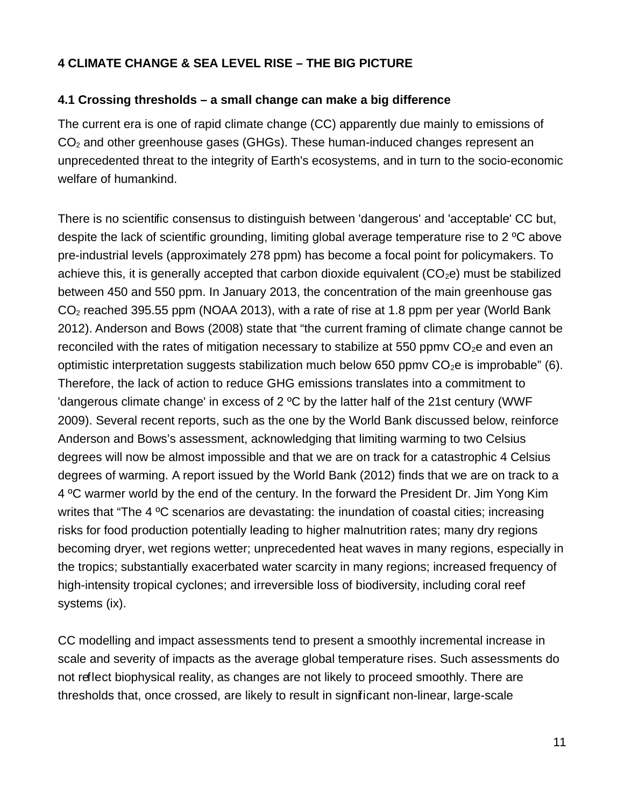### **4 CLIMATE CHANGE & SEA LEVEL RISE – THE BIG PICTURE**

#### **4.1 Crossing thresholds – a small change can make a big difference**

The current era is one of rapid climate change (CC) apparently due mainly to emissions of  $CO<sub>2</sub>$  and other greenhouse gases (GHGs). These human-induced changes represent an unprecedented threat to the integrity of Earth's ecosystems, and in turn to the socio-economic welfare of humankind.

There is no scientific consensus to distinguish between 'dangerous' and 'acceptable' CC but, despite the lack of scientific grounding, limiting global average temperature rise to 2 ºC above pre-industrial levels (approximately 278 ppm) has become a focal point for policymakers. To achieve this, it is generally accepted that carbon dioxide equivalent  $(CO<sub>2</sub>e)$  must be stabilized between 450 and 550 ppm. In January 2013, the concentration of the main greenhouse gas  $CO<sub>2</sub>$  reached 395.55 ppm (NOAA 2013), with a rate of rise at 1.8 ppm per year (World Bank 2012). Anderson and Bows (2008) state that "the current framing of climate change cannot be reconciled with the rates of mitigation necessary to stabilize at 550 ppmv  $CO<sub>2</sub>e$  and even an optimistic interpretation suggests stabilization much below 650 ppm  $CO<sub>2</sub>e$  is improbable" (6). Therefore, the lack of action to reduce GHG emissions translates into a commitment to 'dangerous climate change' in excess of 2 ºC by the latter half of the 21st century (WWF 2009). Several recent reports, such as the one by the World Bank discussed below, reinforce Anderson and Bows's assessment, acknowledging that limiting warming to two Celsius degrees will now be almost impossible and that we are on track for a catastrophic 4 Celsius degrees of warming. A report issued by the World Bank (2012) finds that we are on track to a 4 ºC warmer world by the end of the century. In the forward the President Dr. Jim Yong Kim writes that "The 4 °C scenarios are devastating: the inundation of coastal cities; increasing risks for food production potentially leading to higher malnutrition rates; many dry regions becoming dryer, wet regions wetter; unprecedented heat waves in many regions, especially in the tropics; substantially exacerbated water scarcity in many regions; increased frequency of high-intensity tropical cyclones; and irreversible loss of biodiversity, including coral reef systems (ix).

CC modelling and impact assessments tend to present a smoothly incremental increase in scale and severity of impacts as the average global temperature rises. Such assessments do not reflect biophysical reality, as changes are not likely to proceed smoothly. There are thresholds that, once crossed, are likely to result in significant non-linear, large-scale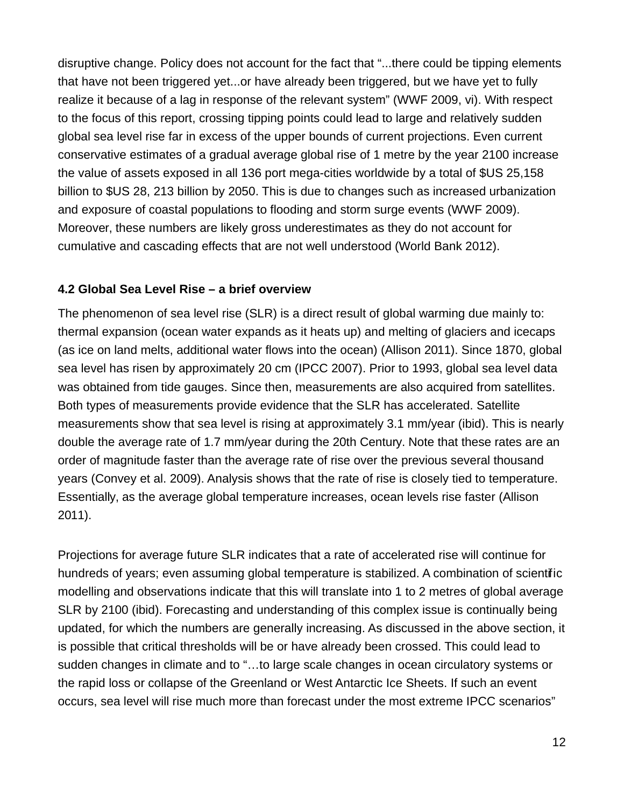disruptive change. Policy does not account for the fact that "...there could be tipping elements that have not been triggered yet...or have already been triggered, but we have yet to fully realize it because of a lag in response of the relevant system" (WWF 2009, vi). With respect to the focus of this report, crossing tipping points could lead to large and relatively sudden global sea level rise far in excess of the upper bounds of current projections. Even current conservative estimates of a gradual average global rise of 1 metre by the year 2100 increase the value of assets exposed in all 136 port mega-cities worldwide by a total of \$US 25,158 billion to \$US 28, 213 billion by 2050. This is due to changes such as increased urbanization and exposure of coastal populations to flooding and storm surge events (WWF 2009). Moreover, these numbers are likely gross underestimates as they do not account for cumulative and cascading effects that are not well understood (World Bank 2012).

#### **4.2 Global Sea Level Rise – a brief overview**

The phenomenon of sea level rise (SLR) is a direct result of global warming due mainly to: thermal expansion (ocean water expands as it heats up) and melting of glaciers and icecaps (as ice on land melts, additional water flows into the ocean) (Allison 2011). Since 1870, global sea level has risen by approximately 20 cm (IPCC 2007). Prior to 1993, global sea level data was obtained from tide gauges. Since then, measurements are also acquired from satellites. Both types of measurements provide evidence that the SLR has accelerated. Satellite measurements show that sea level is rising at approximately 3.1 mm/year (ibid). This is nearly double the average rate of 1.7 mm/year during the 20th Century. Note that these rates are an order of magnitude faster than the average rate of rise over the previous several thousand years (Convey et al. 2009). Analysis shows that the rate of rise is closely tied to temperature. Essentially, as the average global temperature increases, ocean levels rise faster (Allison 2011).

Projections for average future SLR indicates that a rate of accelerated rise will continue for hundreds of years; even assuming global temperature is stabilized. A combination of scientific modelling and observations indicate that this will translate into 1 to 2 metres of global average SLR by 2100 (ibid). Forecasting and understanding of this complex issue is continually being updated, for which the numbers are generally increasing. As discussed in the above section, it is possible that critical thresholds will be or have already been crossed. This could lead to sudden changes in climate and to "…to large scale changes in ocean circulatory systems or the rapid loss or collapse of the Greenland or West Antarctic Ice Sheets. If such an event occurs, sea level will rise much more than forecast under the most extreme IPCC scenarios"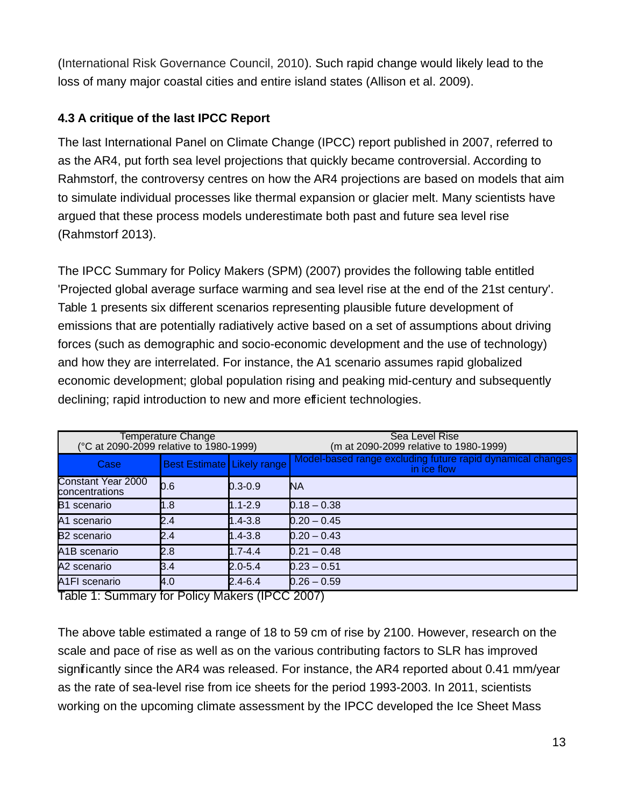(International Risk Governance Council, 2010). Such rapid change would likely lead to the loss of many major coastal cities and entire island states (Allison et al. 2009).

## **4.3 A critique of the last IPCC Report**

The last International Panel on Climate Change (IPCC) report published in 2007, referred to as the AR4, put forth sea level projections that quickly became controversial. According to Rahmstorf, the controversy centres on how the AR4 projections are based on models that aim to simulate individual processes like thermal expansion or glacier melt. Many scientists have argued that these process models underestimate both past and future sea level rise (Rahmstorf 2013).

The IPCC Summary for Policy Makers (SPM) (2007) provides the following table entitled 'Projected global average surface warming and sea level rise at the end of the 21st century'. Table 1 presents six different scenarios representing plausible future development of emissions that are potentially radiatively active based on a set of assumptions about driving forces (such as demographic and socio-economic development and the use of technology) and how they are interrelated. For instance, the A1 scenario assumes rapid globalized economic development; global population rising and peaking mid-century and subsequently declining; rapid introduction to new and more efficient technologies.

| Temperature Change<br>(°C at 2090-2099 relative to 1980-1999) |                                   |             | Sea Level Rise<br>(m at 2090-2099 relative to 1980-1999)                  |
|---------------------------------------------------------------|-----------------------------------|-------------|---------------------------------------------------------------------------|
| Case                                                          | <b>Best Estimate Likely range</b> |             | Model-based range excluding future rapid dynamical changes<br>in ice flow |
| <b>Constant Year 2000</b><br>concentrations                   | 0.6                               | $0.3 - 0.9$ | <b>NA</b>                                                                 |
| B1 scenario                                                   | 1.8                               | $1.1 - 2.9$ | $0.18 - 0.38$                                                             |
| A1 scenario                                                   | 2.4                               | $1.4 - 3.8$ | $0.20 - 0.45$                                                             |
| <b>B2</b> scenario                                            | 2.4                               | $1.4 - 3.8$ | $0.20 - 0.43$                                                             |
| A <sub>1</sub> B scenario                                     | 2.8                               | $1.7 - 4.4$ | $0.21 - 0.48$                                                             |
| A2 scenario                                                   | B.4                               | $2.0 - 5.4$ | $0.23 - 0.51$                                                             |
| A <sub>1</sub> FI scenario<br>_ _ <u>. _</u>                  | $\mathsf{A}.0$                    | $2.4 - 6.4$ | $0.26 - 0.59$                                                             |

Table 1: Summary for Policy Makers (IPCC 2007)

The above table estimated a range of 18 to 59 cm of rise by 2100. However, research on the scale and pace of rise as well as on the various contributing factors to SLR has improved significantly since the AR4 was released. For instance, the AR4 reported about 0.41 mm/year as the rate of sea-level rise from ice sheets for the period 1993-2003. In 2011, scientists working on the upcoming climate assessment by the IPCC developed the Ice Sheet Mass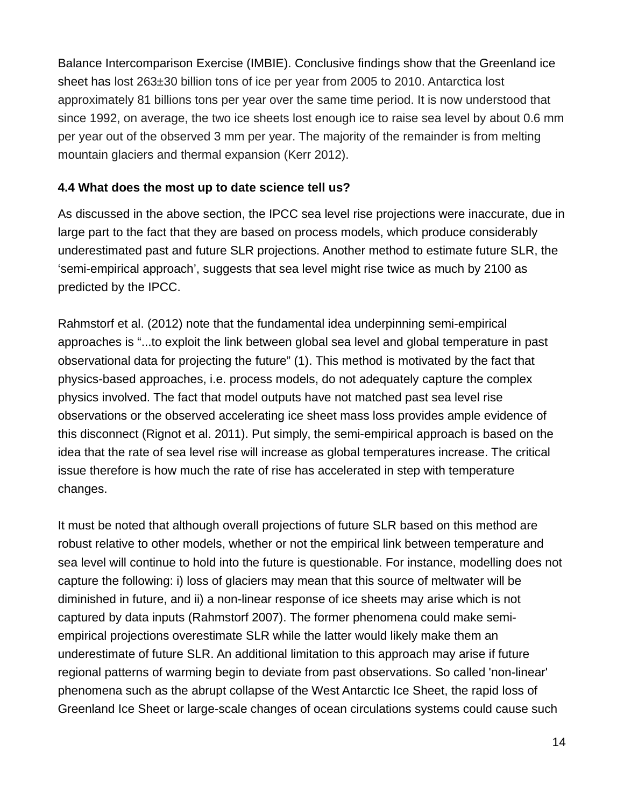Balance Intercomparison Exercise (IMBIE). Conclusive findings show that the Greenland ice sheet has lost 263±30 billion tons of ice per year from 2005 to 2010. Antarctica lost approximately 81 billions tons per year over the same time period. It is now understood that since 1992, on average, the two ice sheets lost enough ice to raise sea level by about 0.6 mm per year out of the observed 3 mm per year. The majority of the remainder is from melting mountain glaciers and thermal expansion (Kerr 2012).

#### **4.4 What does the most up to date science tell us?**

As discussed in the above section, the IPCC sea level rise projections were inaccurate, due in large part to the fact that they are based on process models, which produce considerably underestimated past and future SLR projections. Another method to estimate future SLR, the 'semi-empirical approach', suggests that sea level might rise twice as much by 2100 as predicted by the IPCC.

Rahmstorf et al. (2012) note that the fundamental idea underpinning semi-empirical approaches is "...to exploit the link between global sea level and global temperature in past observational data for projecting the future" (1). This method is motivated by the fact that physics-based approaches, i.e. process models, do not adequately capture the complex physics involved. The fact that model outputs have not matched past sea level rise observations or the observed accelerating ice sheet mass loss provides ample evidence of this disconnect (Rignot et al. 2011). Put simply, the semi-empirical approach is based on the idea that the rate of sea level rise will increase as global temperatures increase. The critical issue therefore is how much the rate of rise has accelerated in step with temperature changes.

It must be noted that although overall projections of future SLR based on this method are robust relative to other models, whether or not the empirical link between temperature and sea level will continue to hold into the future is questionable. For instance, modelling does not capture the following: i) loss of glaciers may mean that this source of meltwater will be diminished in future, and ii) a non-linear response of ice sheets may arise which is not captured by data inputs (Rahmstorf 2007). The former phenomena could make semiempirical projections overestimate SLR while the latter would likely make them an underestimate of future SLR. An additional limitation to this approach may arise if future regional patterns of warming begin to deviate from past observations. So called 'non-linear' phenomena such as the abrupt collapse of the West Antarctic Ice Sheet, the rapid loss of Greenland Ice Sheet or large-scale changes of ocean circulations systems could cause such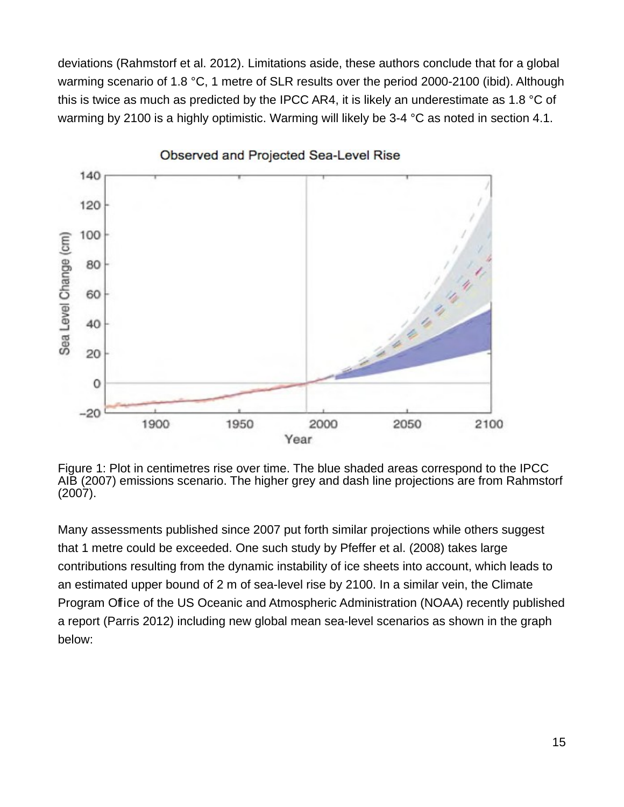deviations (Rahmstorf et al. 2012). Limitations aside, these authors conclude that for a global warming scenario of 1.8 °C, 1 metre of SLR results over the period 2000-2100 (ibid). Although this is twice as much as predicted by the IPCC AR4, it is likely an underestimate as 1.8 °C of warming by 2100 is a highly optimistic. Warming will likely be 3-4 °C as noted in section 4.1.



Observed and Projected Sea-Level Rise

Figure 1: Plot in centimetres rise over time. The blue shaded areas correspond to the IPCC AIB (2007) emissions scenario. The higher grey and dash line projections are from Rahmstorf (2007).

Many assessments published since 2007 put forth similar projections while others suggest that 1 metre could be exceeded. One such study by Pfeffer et al. (2008) takes large contributions resulting from the dynamic instability of ice sheets into account, which leads to an estimated upper bound of 2 m of sea-level rise by 2100. In a similar vein, the Climate Program Office of the US Oceanic and Atmospheric Administration (NOAA) recently published a report (Parris 2012) including new global mean sea-level scenarios as shown in the graph below: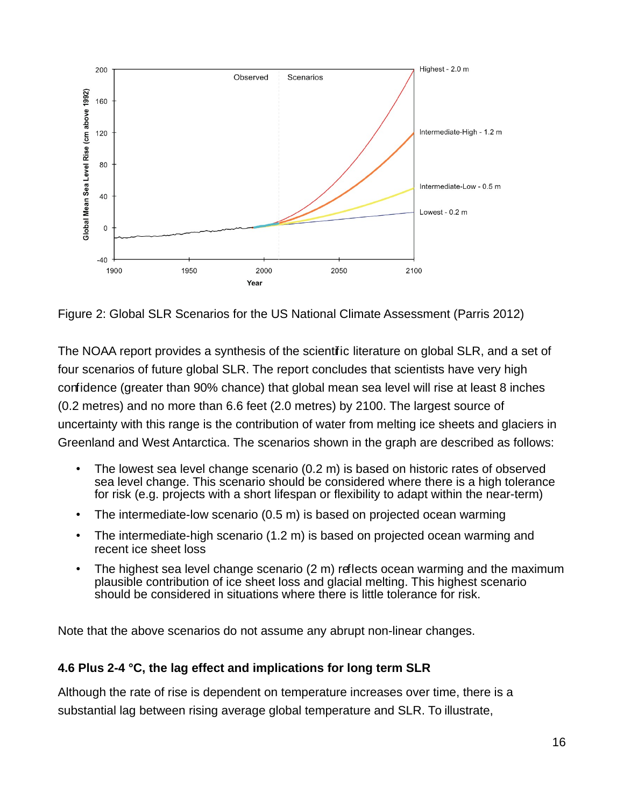

Figure 2: Global SLR Scenarios for the US National Climate Assessment (Parris 2012)

The NOAA report provides a synthesis of the scientific literature on global SLR, and a set of four scenarios of future global SLR. The report concludes that scientists have very high confidence (greater than 90% chance) that global mean sea level will rise at least 8 inches (0.2 metres) and no more than 6.6 feet (2.0 metres) by 2100. The largest source of uncertainty with this range is the contribution of water from melting ice sheets and glaciers in Greenland and West Antarctica. The scenarios shown in the graph are described as follows:

- The lowest sea level change scenario (0.2 m) is based on historic rates of observed sea level change. This scenario should be considered where there is a high tolerance for risk (e.g. projects with a short lifespan or flexibility to adapt within the near-term)
- The intermediate-low scenario (0.5 m) is based on projected ocean warming
- The intermediate-high scenario (1.2 m) is based on projected ocean warming and recent ice sheet loss
- The highest sea level change scenario  $(2 \text{ m})$  reflects ocean warming and the maximum plausible contribution of ice sheet loss and glacial melting. This highest scenario should be considered in situations where there is little tolerance for risk.

Note that the above scenarios do not assume any abrupt non-linear changes.

#### **4.6 Plus 2-4 °C, the lag effect and implications for long term SLR**

Although the rate of rise is dependent on temperature increases over time, there is a substantial lag between rising average global temperature and SLR. To illustrate,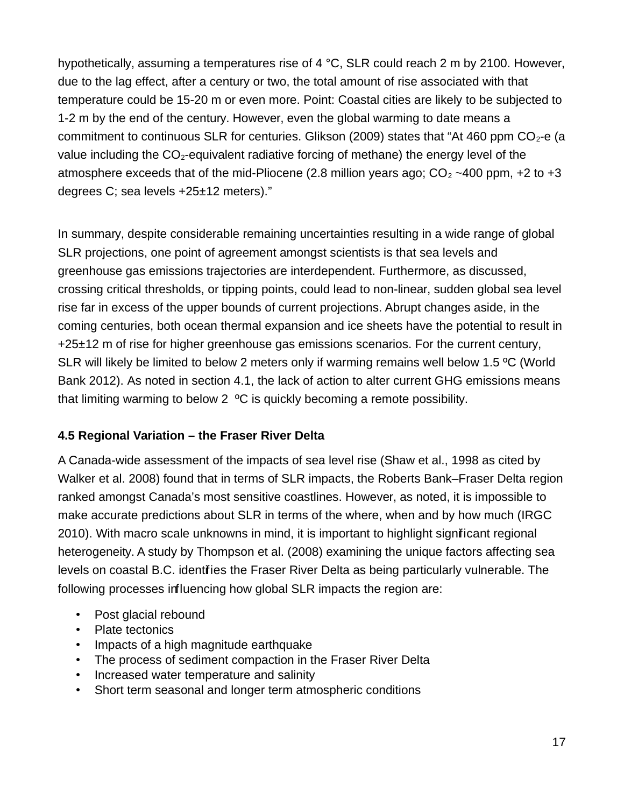hypothetically, assuming a temperatures rise of 4 °C, SLR could reach 2 m by 2100. However, due to the lag effect, after a century or two, the total amount of rise associated with that temperature could be 15-20 m or even more. Point: Coastal cities are likely to be subjected to 1-2 m by the end of the century. However, even the global warming to date means a commitment to continuous SLR for centuries. Glikson (2009) states that "At 460 ppm  $CO<sub>2</sub>$ -e (a value including the  $CO<sub>2</sub>$ -equivalent radiative forcing of methane) the energy level of the atmosphere exceeds that of the mid-Pliocene (2.8 million years ago;  $CO<sub>2</sub> \sim 400$  ppm, +2 to +3 degrees C; sea levels +25±12 meters)."

In summary, despite considerable remaining uncertainties resulting in a wide range of global SLR projections, one point of agreement amongst scientists is that sea levels and greenhouse gas emissions trajectories are interdependent. Furthermore, as discussed, crossing critical thresholds, or tipping points, could lead to non-linear, sudden global sea level rise far in excess of the upper bounds of current projections. Abrupt changes aside, in the coming centuries, both ocean thermal expansion and ice sheets have the potential to result in  $+25\pm12$  m of rise for higher greenhouse gas emissions scenarios. For the current century, SLR will likely be limited to below 2 meters only if warming remains well below 1.5 ºC (World Bank 2012). As noted in section 4.1, the lack of action to alter current GHG emissions means that limiting warming to below 2 ºC is quickly becoming a remote possibility.

#### **4.5 Regional Variation – the Fraser River Delta**

A Canada-wide assessment of the impacts of sea level rise (Shaw et al., 1998 as cited by Walker et al. 2008) found that in terms of SLR impacts, the Roberts Bank–Fraser Delta region ranked amongst Canada's most sensitive coastlines. However, as noted, it is impossible to make accurate predictions about SLR in terms of the where, when and by how much (IRGC 2010). With macro scale unknowns in mind, it is important to highlight significant regional heterogeneity. A study by Thompson et al. (2008) examining the unique factors affecting sea levels on coastal B.C. identifies the Fraser River Delta as being particularly vulnerable. The following processes influencing how global SLR impacts the region are:

- Post glacial rebound
- Plate tectonics
- Impacts of a high magnitude earthquake
- The process of sediment compaction in the Fraser River Delta
- Increased water temperature and salinity
- Short term seasonal and longer term atmospheric conditions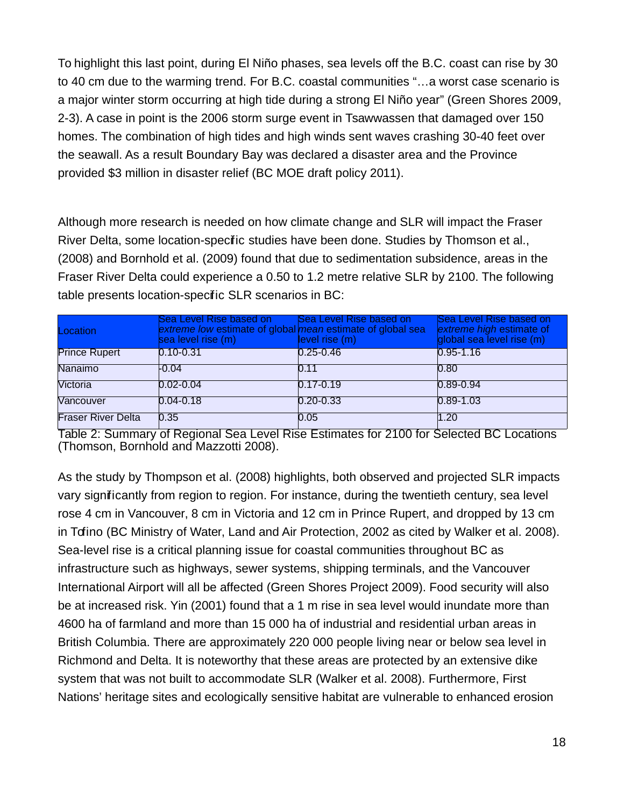To highlight this last point, during El Niño phases, sea levels off the B.C. coast can rise by 30 to 40 cm due to the warming trend. For B.C. coastal communities "…a worst case scenario is a major winter storm occurring at high tide during a strong El Niño year" (Green Shores 2009, 2-3). A case in point is the 2006 storm surge event in Tsawwassen that damaged over 150 homes. The combination of high tides and high winds sent waves crashing 30-40 feet over the seawall. As a result Boundary Bay was declared a disaster area and the Province provided \$3 million in disaster relief (BC MOE draft policy 2011).

Although more research is needed on how climate change and SLR will impact the Fraser River Delta, some location-specific studies have been done. Studies by Thomson et al., (2008) and Bornhold et al. (2009) found that due to sedimentation subsidence, areas in the Fraser River Delta could experience a 0.50 to 1.2 metre relative SLR by 2100. The following table presents location-specific SLR scenarios in BC:

| Location                  | Sea Level Rise based on<br>extreme low estimate of global mean estimate of global sea<br>sea level rise (m) | Sea Level Rise based on<br>level rise (m) | Sea Level Rise based on<br>extreme high estimate of<br>global sea level rise (m) |
|---------------------------|-------------------------------------------------------------------------------------------------------------|-------------------------------------------|----------------------------------------------------------------------------------|
| <b>Prince Rupert</b>      | $0.10 - 0.31$                                                                                               | $0.25 - 0.46$                             | $0.95 - 1.16$                                                                    |
| Nanaimo                   | $-0.04$                                                                                                     | 0.11                                      | 0.80                                                                             |
| Victoria                  | $0.02 - 0.04$                                                                                               | $0.17 - 0.19$                             | $0.89 - 0.94$                                                                    |
| Vancouver                 | $0.04 - 0.18$                                                                                               | $0.20 - 0.33$                             | $0.89 - 1.03$                                                                    |
| <b>Fraser River Delta</b> | 0.35                                                                                                        | 0.05                                      | 1.20                                                                             |

Table 2: Summary of Regional Sea Level Rise Estimates for 2100 for Selected BC Locations (Thomson, Bornhold and Mazzotti 2008).

As the study by Thompson et al. (2008) highlights, both observed and projected SLR impacts vary significantly from region to region. For instance, during the twentieth century, sea level rose 4 cm in Vancouver, 8 cm in Victoria and 12 cm in Prince Rupert, and dropped by 13 cm in Tofino (BC Ministry of Water, Land and Air Protection, 2002 as cited by Walker et al. 2008). Sea-level rise is a critical planning issue for coastal communities throughout BC as infrastructure such as highways, sewer systems, shipping terminals, and the Vancouver International Airport will all be affected (Green Shores Project 2009). Food security will also be at increased risk. Yin (2001) found that a 1 m rise in sea level would inundate more than 4600 ha of farmland and more than 15 000 ha of industrial and residential urban areas in British Columbia. There are approximately 220 000 people living near or below sea level in Richmond and Delta. It is noteworthy that these areas are protected by an extensive dike system that was not built to accommodate SLR (Walker et al. 2008). Furthermore, First Nations' heritage sites and ecologically sensitive habitat are vulnerable to enhanced erosion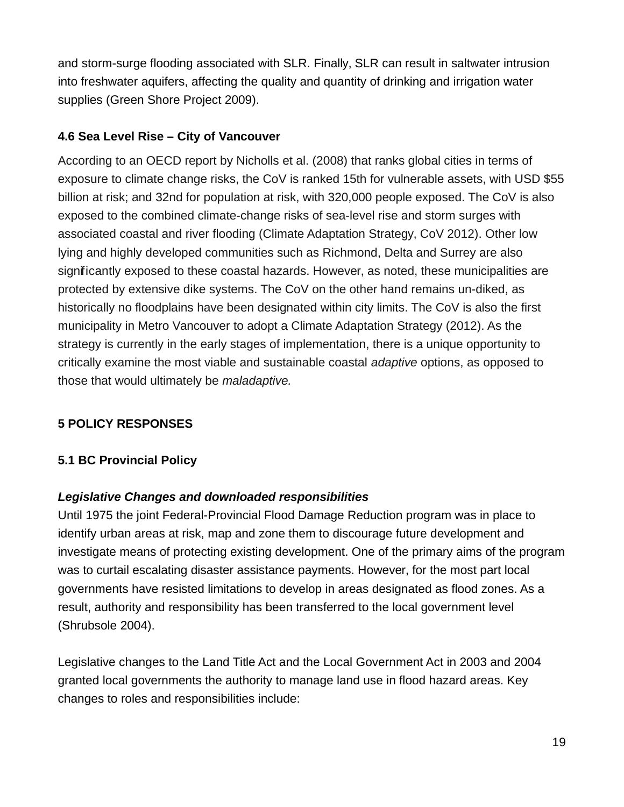and storm-surge flooding associated with SLR. Finally, SLR can result in saltwater intrusion into freshwater aquifers, affecting the quality and quantity of drinking and irrigation water supplies (Green Shore Project 2009).

## **4.6 Sea Level Rise – City of Vancouver**

According to an OECD report by Nicholls et al. (2008) that ranks global cities in terms of exposure to climate change risks, the CoV is ranked 15th for vulnerable assets, with USD \$55 billion at risk; and 32nd for population at risk, with 320,000 people exposed. The CoV is also exposed to the combined climate-change risks of sea-level rise and storm surges with associated coastal and river flooding (Climate Adaptation Strategy, CoV 2012). Other low lying and highly developed communities such as Richmond, Delta and Surrey are also significantly exposed to these coastal hazards. However, as noted, these municipalities are protected by extensive dike systems. The CoV on the other hand remains un-diked, as historically no floodplains have been designated within city limits. The CoV is also the first municipality in Metro Vancouver to adopt a Climate Adaptation Strategy (2012). As the strategy is currently in the early stages of implementation, there is a unique opportunity to critically examine the most viable and sustainable coastal adaptive options, as opposed to those that would ultimately be *maladaptive*.

## **5 POLICY RESPONSES**

### **5.1 BC Provincial Policy**

### **Legislative Changes and downloaded responsibilities**

Until 1975 the joint Federal-Provincial Flood Damage Reduction program was in place to identify urban areas at risk, map and zone them to discourage future development and investigate means of protecting existing development. One of the primary aims of the program was to curtail escalating disaster assistance payments. However, for the most part local governments have resisted limitations to develop in areas designated as flood zones. As a result, authority and responsibility has been transferred to the local government level (Shrubsole 2004).

Legislative changes to the Land Title Act and the Local Government Act in 2003 and 2004 granted local governments the authority to manage land use in flood hazard areas. Key changes to roles and responsibilities include: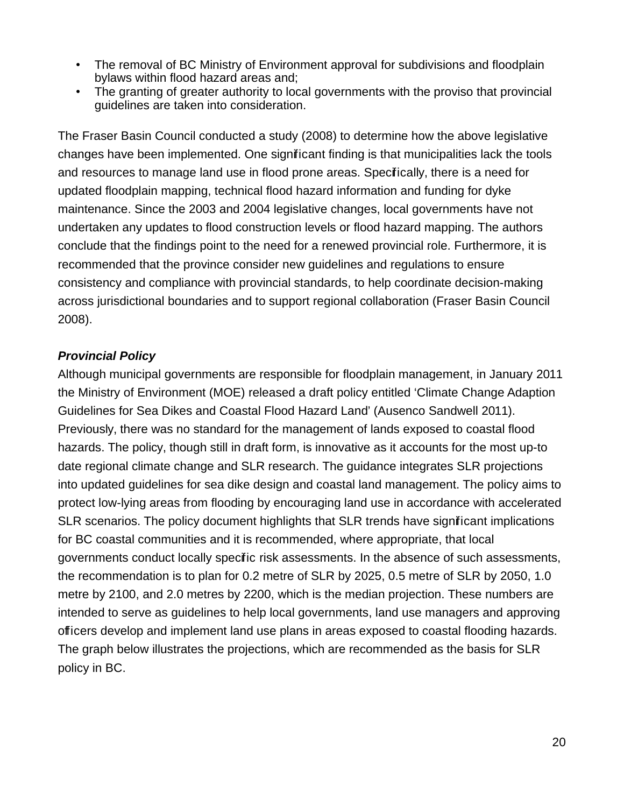- The removal of BC Ministry of Environment approval for subdivisions and floodplain bylaws within flood hazard areas and;
- The granting of greater authority to local governments with the proviso that provincial guidelines are taken into consideration.

The Fraser Basin Council conducted a study (2008) to determine how the above legislative changes have been implemented. One significant finding is that municipalities lack the tools and resources to manage land use in flood prone areas. Specifically, there is a need for updated floodplain mapping, technical flood hazard information and funding for dyke maintenance. Since the 2003 and 2004 legislative changes, local governments have not undertaken any updates to flood construction levels or flood hazard mapping. The authors conclude that the findings point to the need for a renewed provincial role. Furthermore, it is recommended that the province consider new guidelines and regulations to ensure consistency and compliance with provincial standards, to help coordinate decision-making across jurisdictional boundaries and to support regional collaboration (Fraser Basin Council 2008).

#### **Provincial Policy**

Although municipal governments are responsible for floodplain management, in January 2011 the Ministry of Environment (MOE) released a draft policy entitled 'Climate Change Adaption Guidelines for Sea Dikes and Coastal Flood Hazard Land' (Ausenco Sandwell 2011). Previously, there was no standard for the management of lands exposed to coastal flood hazards. The policy, though still in draft form, is innovative as it accounts for the most up-to date regional climate change and SLR research. The guidance integrates SLR projections into updated guidelines for sea dike design and coastal land management. The policy aims to protect low-lying areas from flooding by encouraging land use in accordance with accelerated SLR scenarios. The policy document highlights that SLR trends have significant implications for BC coastal communities and it is recommended, where appropriate, that local governments conduct locally specific risk assessments. In the absence of such assessments, the recommendation is to plan for 0.2 metre of SLR by 2025, 0.5 metre of SLR by 2050, 1.0 metre by 2100, and 2.0 metres by 2200, which is the median projection. These numbers are intended to serve as guidelines to help local governments, land use managers and approving officers develop and implement land use plans in areas exposed to coastal flooding hazards. The graph below illustrates the projections, which are recommended as the basis for SLR policy in BC.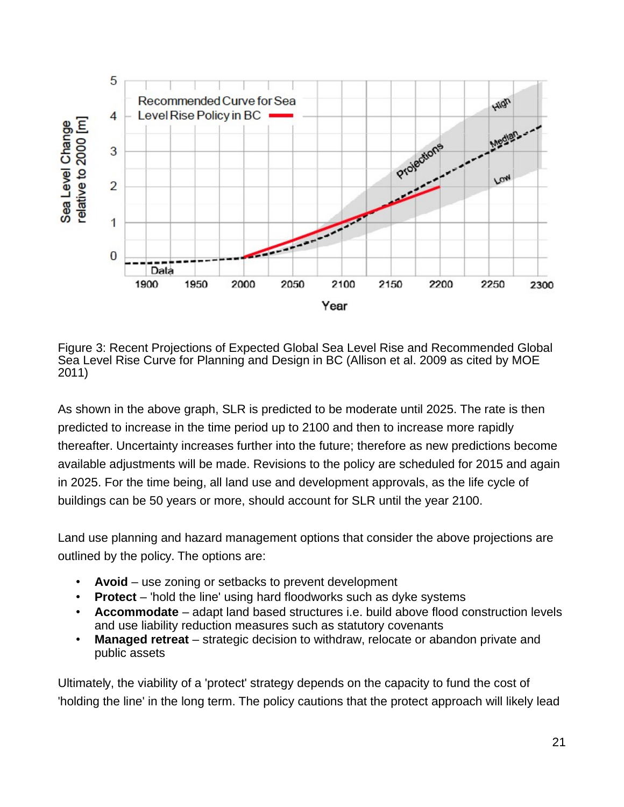

Figure 3: Recent Projections of Expected Global Sea Level Rise and Recommended Global Sea Level Rise Curve for Planning and Design in BC (Allison et al. 2009 as cited by MOE 2011)

As shown in the above graph, SLR is predicted to be moderate until 2025. The rate is then predicted to increase in the time period up to 2100 and then to increase more rapidly thereafter. Uncertainty increases further into the future; therefore as new predictions become available adjustments will be made. Revisions to the policy are scheduled for 2015 and again in 2025. For the time being, all land use and development approvals, as the life cycle of buildings can be 50 years or more, should account for SLR until the year 2100.

Land use planning and hazard management options that consider the above projections are outlined by the policy. The options are:

- **Avoid** use zoning or setbacks to prevent development
- **Protect** 'hold the line' using hard floodworks such as dyke systems
- **Accommodate** adapt land based structures i.e. build above flood construction levels and use liability reduction measures such as statutory covenants
- **Managed retreat** strategic decision to withdraw, relocate or abandon private and public assets

Ultimately, the viability of a 'protect' strategy depends on the capacity to fund the cost of 'holding the line' in the long term. The policy cautions that the protect approach will likely lead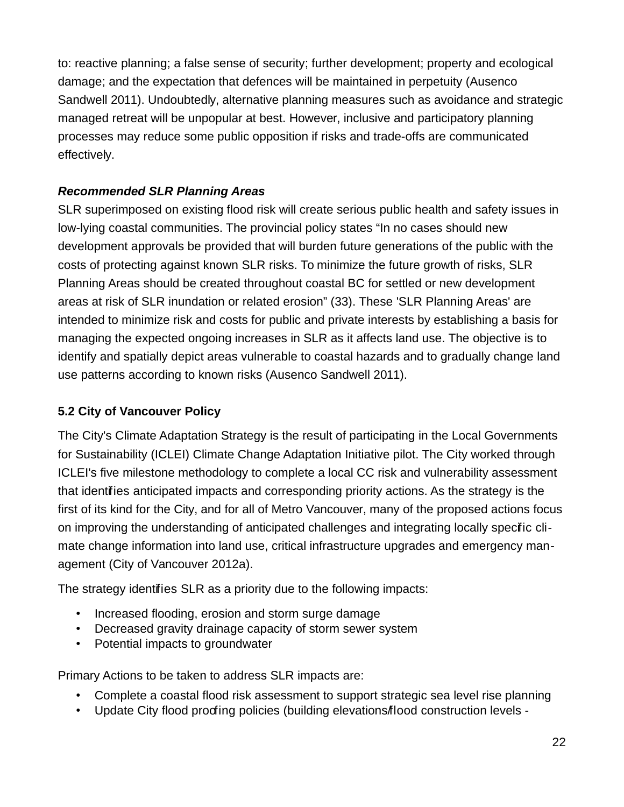to: reactive planning; a false sense of security; further development; property and ecological damage; and the expectation that defences will be maintained in perpetuity (Ausenco Sandwell 2011). Undoubtedly, alternative planning measures such as avoidance and strategic managed retreat will be unpopular at best. However, inclusive and participatory planning processes may reduce some public opposition if risks and trade-offs are communicated effectively.

### **Recommended SLR Planning Areas**

SLR superimposed on existing flood risk will create serious public health and safety issues in low-lying coastal communities. The provincial policy states "In no cases should new development approvals be provided that will burden future generations of the public with the costs of protecting against known SLR risks. To minimize the future growth of risks, SLR Planning Areas should be created throughout coastal BC for settled or new development areas at risk of SLR inundation or related erosion" (33). These 'SLR Planning Areas' are intended to minimize risk and costs for public and private interests by establishing a basis for managing the expected ongoing increases in SLR as it affects land use. The objective is to identify and spatially depict areas vulnerable to coastal hazards and to gradually change land use patterns according to known risks (Ausenco Sandwell 2011).

#### **5.2 City of Vancouver Policy**

The City's Climate Adaptation Strategy is the result of participating in the Local Governments for Sustainability (ICLEI) Climate Change Adaptation Initiative pilot. The City worked through ICLEI's five milestone methodology to complete a local CC risk and vulnerability assessment that identifies anticipated impacts and corresponding priority actions. As the strategy is the first of its kind for the City, and for all of Metro Vancouver, many of the proposed actions focus on improving the understanding of anticipated challenges and integrating locally specific climate change information into land use, critical infrastructure upgrades and emergency management (City of Vancouver 2012a).

The strategy identifies SLR as a priority due to the following impacts:

- Increased flooding, erosion and storm surge damage
- Decreased gravity drainage capacity of storm sewer system
- Potential impacts to groundwater

Primary Actions to be taken to address SLR impacts are:

- Complete a coastal flood risk assessment to support strategic sea level rise planning
- Update City flood proofing policies (building elevations/flood construction levels -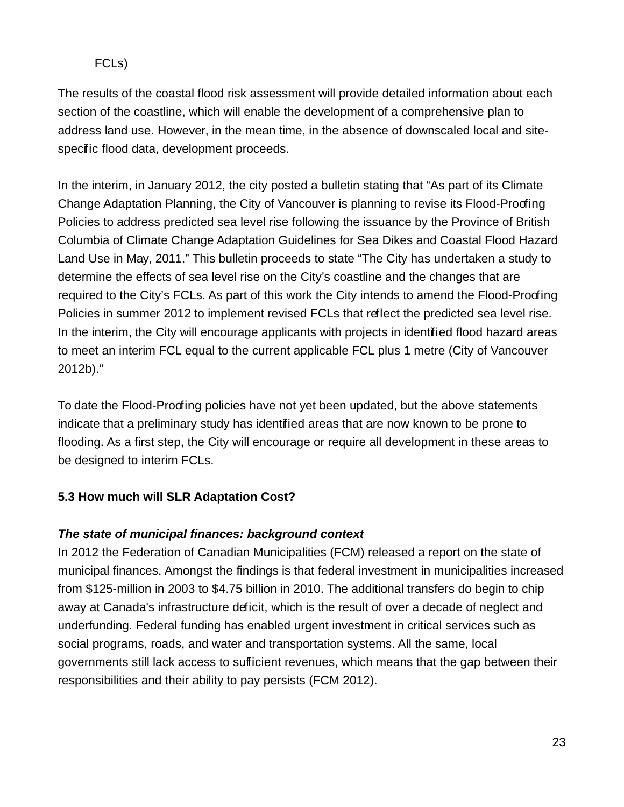#### FCLs)

The results of the coastal flood risk assessment will provide detailed information about each section of the coastline, which will enable the development of a comprehensive plan to address land use. However, in the mean time, in the absence of downscaled local and sitespecific flood data, development proceeds.

In the interim, in January 2012, the city posted a bulletin stating that "As part of its Climate Change Adaptation Planning, the City of Vancouver is planning to revise its Flood-Proofing Policies to address predicted sea level rise following the issuance by the Province of British Columbia of Climate Change Adaptation Guidelines for Sea Dikes and Coastal Flood Hazard Land Use in May, 2011." This bulletin proceeds to state "The City has undertaken a study to determine the effects of sea level rise on the City's coastline and the changes that are required to the City's FCLs. As part of this work the City intends to amend the Flood-Proofing Policies in summer 2012 to implement revised FCLs that reflect the predicted sea level rise. In the interim, the City will encourage applicants with projects in identified flood hazard areas to meet an interim FCL equal to the current applicable FCL plus 1 metre (City of Vancouver 2012b)."

To date the Flood-Proofing policies have not yet been updated, but the above statements indicate that a preliminary study has identified areas that are now known to be prone to flooding. As a first step, the City will encourage or require all development in these areas to be designed to interim FCLs.

### **5.3 How much will SLR Adaptation Cost?**

### **The state of municipal finances: background context**

In 2012 the Federation of Canadian Municipalities (FCM) released a report on the state of municipal finances. Amongst the findings is that federal investment in municipalities increased from \$125-million in 2003 to \$4.75 billion in 2010. The additional transfers do begin to chip away at Canada's infrastructure deficit, which is the result of over a decade of neglect and underfunding. Federal funding has enabled urgent investment in critical services such as social programs, roads, and water and transportation systems. All the same, local governments still lack access to sufficient revenues, which means that the gap between their responsibilities and their ability to pay persists (FCM 2012).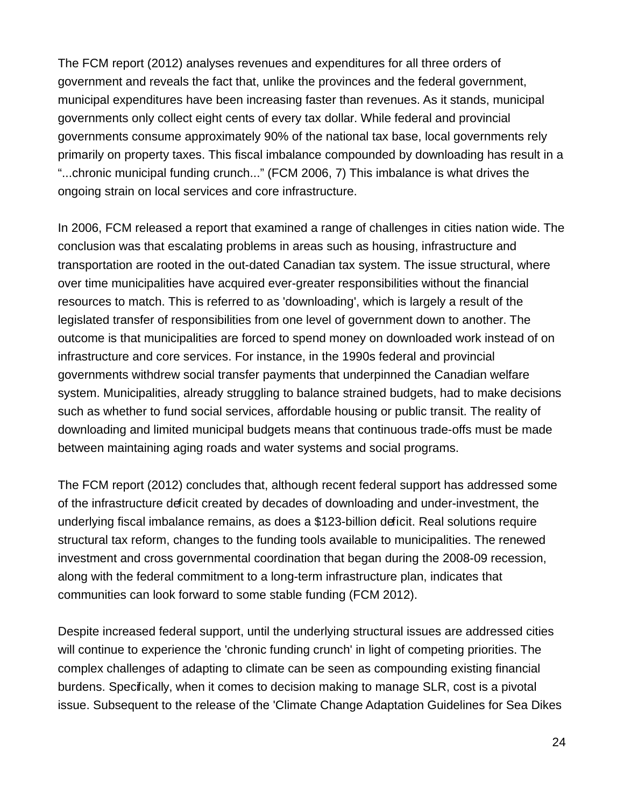The FCM report (2012) analyses revenues and expenditures for all three orders of government and reveals the fact that, unlike the provinces and the federal government, municipal expenditures have been increasing faster than revenues. As it stands, municipal governments only collect eight cents of every tax dollar. While federal and provincial governments consume approximately 90% of the national tax base, local governments rely primarily on property taxes. This fiscal imbalance compounded by downloading has result in a "...chronic municipal funding crunch..." (FCM 2006, 7) This imbalance is what drives the ongoing strain on local services and core infrastructure.

In 2006, FCM released a report that examined a range of challenges in cities nation wide. The conclusion was that escalating problems in areas such as housing, infrastructure and transportation are rooted in the out-dated Canadian tax system. The issue structural, where over time municipalities have acquired ever-greater responsibilities without the financial resources to match. This is referred to as 'downloading', which is largely a result of the legislated transfer of responsibilities from one level of government down to another. The outcome is that municipalities are forced to spend money on downloaded work instead of on infrastructure and core services. For instance, in the 1990s federal and provincial governments withdrew social transfer payments that underpinned the Canadian welfare system. Municipalities, already struggling to balance strained budgets, had to make decisions such as whether to fund social services, affordable housing or public transit. The reality of downloading and limited municipal budgets means that continuous trade-offs must be made between maintaining aging roads and water systems and social programs.

The FCM report (2012) concludes that, although recent federal support has addressed some of the infrastructure deficit created by decades of downloading and under-investment, the underlying fiscal imbalance remains, as does a \$123-billion deficit. Real solutions require structural tax reform, changes to the funding tools available to municipalities. The renewed investment and cross governmental coordination that began during the 2008-09 recession, along with the federal commitment to a long-term infrastructure plan, indicates that communities can look forward to some stable funding (FCM 2012).

Despite increased federal support, until the underlying structural issues are addressed cities will continue to experience the 'chronic funding crunch' in light of competing priorities. The complex challenges of adapting to climate can be seen as compounding existing financial burdens. Specifically, when it comes to decision making to manage SLR, cost is a pivotal issue. Subsequent to the release of the 'Climate Change Adaptation Guidelines for Sea Dikes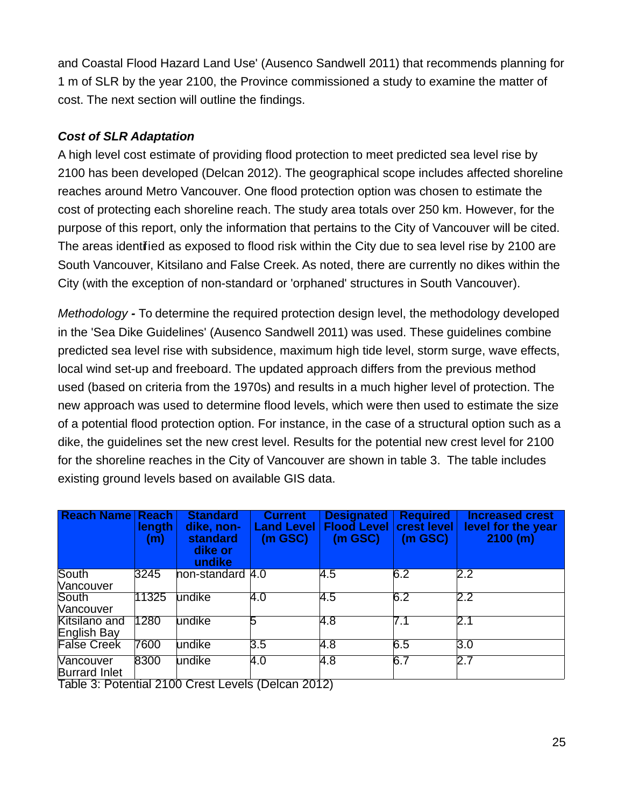and Coastal Flood Hazard Land Use' (Ausenco Sandwell 2011) that recommends planning for 1 m of SLR by the year 2100, the Province commissioned a study to examine the matter of cost. The next section will outline the findings.

#### **Cost of SLR Adaptation**

A high level cost estimate of providing flood protection to meet predicted sea level rise by 2100 has been developed (Delcan 2012). The geographical scope includes affected shoreline reaches around Metro Vancouver. One flood protection option was chosen to estimate the cost of protecting each shoreline reach. The study area totals over 250 km. However, for the purpose of this report, only the information that pertains to the City of Vancouver will be cited. The areas identified as exposed to flood risk within the City due to sea level rise by 2100 are South Vancouver, Kitsilano and False Creek. As noted, there are currently no dikes within the City (with the exception of non-standard or 'orphaned' structures in South Vancouver).

Methodology **-** To determine the required protection design level, the methodology developed in the 'Sea Dike Guidelines' (Ausenco Sandwell 2011) was used. These guidelines combine predicted sea level rise with subsidence, maximum high tide level, storm surge, wave effects, local wind set-up and freeboard. The updated approach differs from the previous method used (based on criteria from the 1970s) and results in a much higher level of protection. The new approach was used to determine flood levels, which were then used to estimate the size of a potential flood protection option. For instance, in the case of a structural option such as a dike, the guidelines set the new crest level. Results for the potential new crest level for 2100 for the shoreline reaches in the City of Vancouver are shown in table 3. The table includes existing ground levels based on available GIS data.

| <b>Reach Name</b>                                  | $\vert$ Reach<br><u>length</u><br>(m)    | <b>Standard</b><br>dike, non-<br>standard<br>dike or<br>undike | <b>Current</b><br><b>Land Level</b><br>$(m$ GSC $)$ | <b>Designated</b><br><b>Flood Level</b><br>$(m$ GSC $)$ | <b>Required</b><br>crest level<br>$(m$ GSC $)$ | <b>Increased crest</b><br>level for the year<br>2100 (m) |
|----------------------------------------------------|------------------------------------------|----------------------------------------------------------------|-----------------------------------------------------|---------------------------------------------------------|------------------------------------------------|----------------------------------------------------------|
| South<br>Nancouver                                 | 3245                                     | non-standard 4.0                                               |                                                     | 4.5                                                     | 6.2                                            | $\overline{2.2}$                                         |
| South<br><b>Nancouver</b>                          | 11325                                    | undike                                                         | 4.0                                                 | 4.5                                                     | 6.2                                            | $\overline{2.2}$                                         |
| Kitsilano and<br>English Bay                       | 1280                                     | undike                                                         |                                                     | $\overline{4.8}$                                        | 7.1                                            | $\overline{2.1}$                                         |
| <b>False Creek</b>                                 | 7600                                     | undike                                                         | 3.5                                                 | 4.8                                                     | 6.5                                            | $\overline{3.0}$                                         |
| Nancouver<br><b>Burrard Inlet</b><br><b>TILADI</b> | 8300<br>$\mathbf{r}$ . As a $\mathbf{r}$ | undike<br>.                                                    | 4.0<br>$\overline{1}$<br>$\overline{\phantom{a}}$   | 4.8                                                     | 6.7                                            | 2.7                                                      |

Table 3: Potential 2100 Crest Levels (Delcan 2012)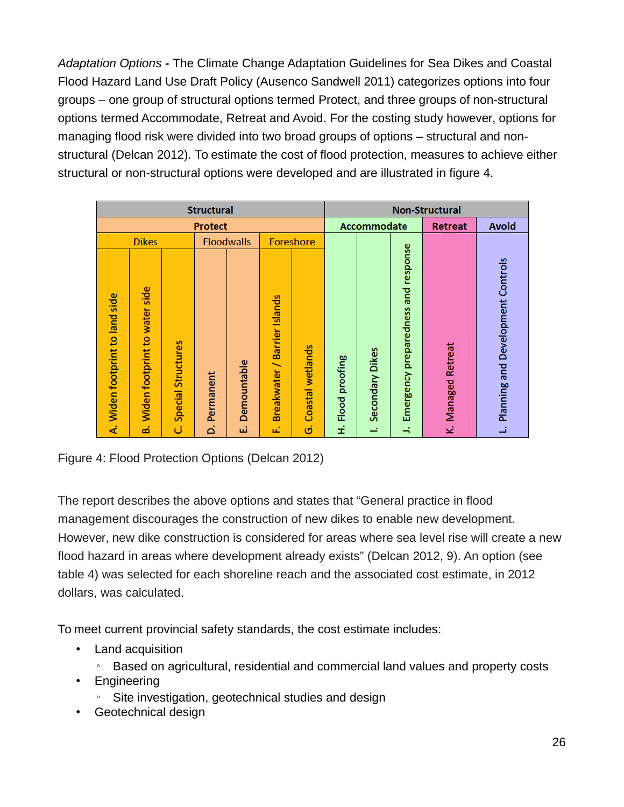Adaptation Options **-** The Climate Change Adaptation Guidelines for Sea Dikes and Coastal Flood Hazard Land Use Draft Policy (Ausenco Sandwell 2011) categorizes options into four groups – one group of structural options termed Protect, and three groups of non-structural options termed Accommodate, Retreat and Avoid. For the costing study however, options for managing flood risk were divided into two broad groups of options – structural and nonstructural (Delcan 2012). To estimate the cost of flood protection, measures to achieve either structural or non-structural options were developed and are illustrated in figure 4.

| <b>Structural</b>            |                                  |                    |           |                   |                                             |                  |                          |                 | <b>Non-Structural</b>               |                    |                                   |
|------------------------------|----------------------------------|--------------------|-----------|-------------------|---------------------------------------------|------------------|--------------------------|-----------------|-------------------------------------|--------------------|-----------------------------------|
| <b>Protect</b>               |                                  |                    |           |                   |                                             |                  | Accommodate              |                 | <b>Retreat</b>                      | <b>Avoid</b>       |                                   |
|                              | <b>Dikes</b>                     |                    |           | <b>Floodwalls</b> |                                             | <b>Foreshore</b> |                          |                 |                                     |                    |                                   |
| Widen footprint to land side | side<br>Widen footprint to water | Special Structures | Permanent | Demountable       | <b>Barrier Islands</b><br><b>Breakwater</b> | Coastal wetlands | proofing<br><b>Flood</b> | Secondary Dikes | Emergency preparedness and response | Retreat<br>Managed | Planning and Development Controls |
| 4                            | ക്                               | ن                  | ة         | ئىر               | μî                                          | Ġ                | £                        | ≕               | $\div$                              | Σż                 |                                   |

Figure 4: Flood Protection Options (Delcan 2012)

The report describes the above options and states that "General practice in flood management discourages the construction of new dikes to enable new development. However, new dike construction is considered for areas where sea level rise will create a new flood hazard in areas where development already exists" (Delcan 2012, 9). An option (see table 4) was selected for each shoreline reach and the associated cost estimate, in 2012 dollars, was calculated.

To meet current provincial safety standards, the cost estimate includes:

- Land acquisition
	- Based on agricultural, residential and commercial land values and property costs
- Engineering
	- Site investigation, geotechnical studies and design
- Geotechnical design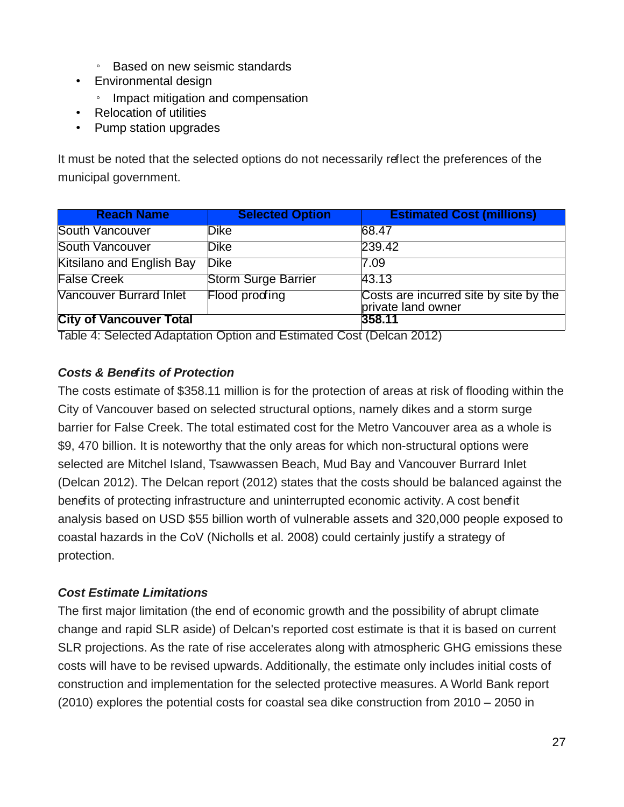- Based on new seismic standards
- Environmental design
	- Impact mitigation and compensation
- Relocation of utilities
- Pump station upgrades

It must be noted that the selected options do not necessarily reflect the preferences of the municipal government.

| <b>Reach Name</b>                | <b>Selected Option</b>     | <b>Estimated Cost (millions)</b>                             |
|----------------------------------|----------------------------|--------------------------------------------------------------|
| <b>South Vancouver</b>           | Dike                       | 68.47                                                        |
| South Vancouver                  | <b>Dike</b>                | 239.42                                                       |
| <b>Kitsilano and English Bay</b> | <b>Dike</b>                | 7.09                                                         |
| <b>False Creek</b>               | <b>Storm Surge Barrier</b> | 43.13                                                        |
| <b>Vancouver Burrard Inlet</b>   | Flood proofing             | Costs are incurred site by site by the<br>private land owner |
| <b>City of Vancouver Total</b>   |                            | 358.11                                                       |

Table 4: Selected Adaptation Option and Estimated Cost (Delcan 2012)

### **Costs & Benefits of Protection**

The costs estimate of \$358.11 million is for the protection of areas at risk of flooding within the City of Vancouver based on selected structural options, namely dikes and a storm surge barrier for False Creek. The total estimated cost for the Metro Vancouver area as a whole is \$9, 470 billion. It is noteworthy that the only areas for which non-structural options were selected are Mitchel Island, Tsawwassen Beach, Mud Bay and Vancouver Burrard Inlet (Delcan 2012). The Delcan report (2012) states that the costs should be balanced against the benefits of protecting infrastructure and uninterrupted economic activity. A cost benefit analysis based on USD \$55 billion worth of vulnerable assets and 320,000 people exposed to coastal hazards in the CoV (Nicholls et al. 2008) could certainly justify a strategy of protection.

### **Cost Estimate Limitations**

The first major limitation (the end of economic growth and the possibility of abrupt climate change and rapid SLR aside) of Delcan's reported cost estimate is that it is based on current SLR projections. As the rate of rise accelerates along with atmospheric GHG emissions these costs will have to be revised upwards. Additionally, the estimate only includes initial costs of construction and implementation for the selected protective measures. A World Bank report (2010) explores the potential costs for coastal sea dike construction from 2010 – 2050 in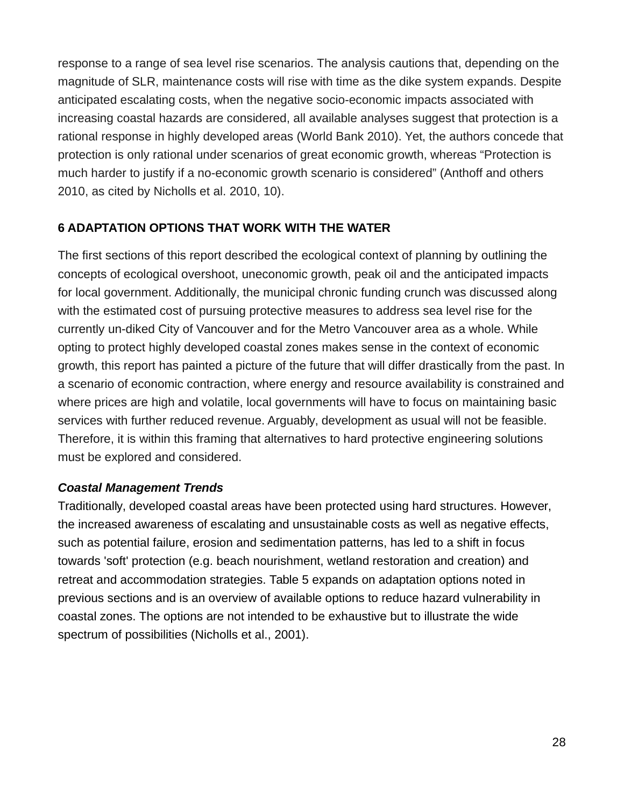response to a range of sea level rise scenarios. The analysis cautions that, depending on the magnitude of SLR, maintenance costs will rise with time as the dike system expands. Despite anticipated escalating costs, when the negative socio-economic impacts associated with increasing coastal hazards are considered, all available analyses suggest that protection is a rational response in highly developed areas (World Bank 2010). Yet, the authors concede that protection is only rational under scenarios of great economic growth, whereas "Protection is much harder to justify if a no-economic growth scenario is considered" (Anthoff and others 2010, as cited by Nicholls et al. 2010, 10).

#### **6 ADAPTATION OPTIONS THAT WORK WITH THE WATER**

The first sections of this report described the ecological context of planning by outlining the concepts of ecological overshoot, uneconomic growth, peak oil and the anticipated impacts for local government. Additionally, the municipal chronic funding crunch was discussed along with the estimated cost of pursuing protective measures to address sea level rise for the currently un-diked City of Vancouver and for the Metro Vancouver area as a whole. While opting to protect highly developed coastal zones makes sense in the context of economic growth, this report has painted a picture of the future that will differ drastically from the past. In a scenario of economic contraction, where energy and resource availability is constrained and where prices are high and volatile, local governments will have to focus on maintaining basic services with further reduced revenue. Arguably, development as usual will not be feasible. Therefore, it is within this framing that alternatives to hard protective engineering solutions must be explored and considered.

#### **Coastal Management Trends**

Traditionally, developed coastal areas have been protected using hard structures. However, the increased awareness of escalating and unsustainable costs as well as negative effects, such as potential failure, erosion and sedimentation patterns, has led to a shift in focus towards 'soft' protection (e.g. beach nourishment, wetland restoration and creation) and retreat and accommodation strategies. Table 5 expands on adaptation options noted in previous sections and is an overview of available options to reduce hazard vulnerability in coastal zones. The options are not intended to be exhaustive but to illustrate the wide spectrum of possibilities (Nicholls et al., 2001).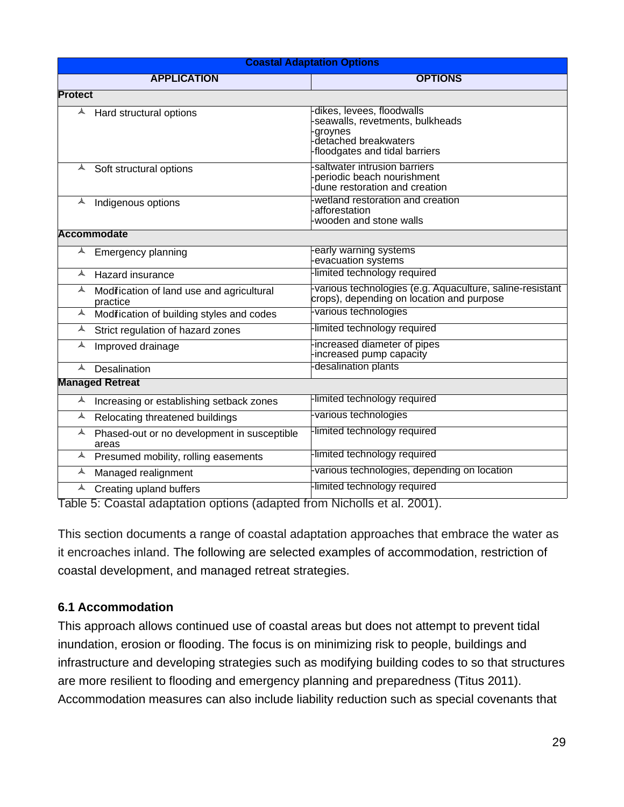| <b>Coastal Adaptation Options</b> |                                                      |                                                                                                                                    |  |  |  |  |  |  |
|-----------------------------------|------------------------------------------------------|------------------------------------------------------------------------------------------------------------------------------------|--|--|--|--|--|--|
|                                   | <b>APPLICATION</b>                                   | <b>OPTIONS</b>                                                                                                                     |  |  |  |  |  |  |
|                                   | <b>Protect</b>                                       |                                                                                                                                    |  |  |  |  |  |  |
|                                   | $\triangle$ Hard structural options                  | dikes, levees, floodwalls<br>seawalls, revetments, bulkheads<br>groynes<br>-detached breakwaters<br>-floodgates and tidal barriers |  |  |  |  |  |  |
|                                   | $\triangle$ Soft structural options                  | saltwater intrusion barriers<br>periodic beach nourishment<br>dune restoration and creation                                        |  |  |  |  |  |  |
| $\blacktriangle$                  | Indigenous options                                   | wetland restoration and creation<br>afforestation<br>wooden and stone walls                                                        |  |  |  |  |  |  |
|                                   | <b>Accommodate</b>                                   |                                                                                                                                    |  |  |  |  |  |  |
| $\blacktriangle$                  | <b>Emergency planning</b>                            | early warning systems<br>evacuation systems                                                                                        |  |  |  |  |  |  |
| $\blacktriangle$                  | Hazard insurance                                     | limited technology required                                                                                                        |  |  |  |  |  |  |
| $\blacktriangle$                  | Modifcation of land use and agricultural<br>practice | -various technologies (e.g. Aquaculture, saline-resistant<br>crops), depending on location and purpose                             |  |  |  |  |  |  |
| $\blacktriangle$                  | Modifcation of building styles and codes             | various technologies                                                                                                               |  |  |  |  |  |  |
| $\blacktriangle$                  | Strict regulation of hazard zones                    | -limited technology required                                                                                                       |  |  |  |  |  |  |
| A                                 | Improved drainage                                    | increased diameter of pipes<br>increased pump capacity                                                                             |  |  |  |  |  |  |
| $\blacktriangle$                  | Desalination                                         | desalination plants                                                                                                                |  |  |  |  |  |  |
|                                   | <b>Managed Retreat</b>                               |                                                                                                                                    |  |  |  |  |  |  |
| $\blacktriangle$                  | Increasing or establishing setback zones             | -limited technology required                                                                                                       |  |  |  |  |  |  |
| $\blacktriangle$                  | Relocating threatened buildings                      | -various technologies                                                                                                              |  |  |  |  |  |  |
| $\blacktriangle$                  | Phased-out or no development in susceptible<br>areas | -limited technology required                                                                                                       |  |  |  |  |  |  |
| $\blacktriangle$                  | Presumed mobility, rolling easements                 | -limited technology required                                                                                                       |  |  |  |  |  |  |
| $\blacktriangle$                  | Managed realignment                                  | -various technologies, depending on location                                                                                       |  |  |  |  |  |  |
| $\blacktriangle$                  | Creating upland buffers                              | -limited technology required                                                                                                       |  |  |  |  |  |  |

Table 5: Coastal adaptation options (adapted from Nicholls et al. 2001).

This section documents a range of coastal adaptation approaches that embrace the water as it encroaches inland. The following are selected examples of accommodation, restriction of coastal development, and managed retreat strategies.

#### **6.1 Accommodation**

This approach allows continued use of coastal areas but does not attempt to prevent tidal inundation, erosion or flooding. The focus is on minimizing risk to people, buildings and infrastructure and developing strategies such as modifying building codes to so that structures are more resilient to flooding and emergency planning and preparedness (Titus 2011). Accommodation measures can also include liability reduction such as special covenants that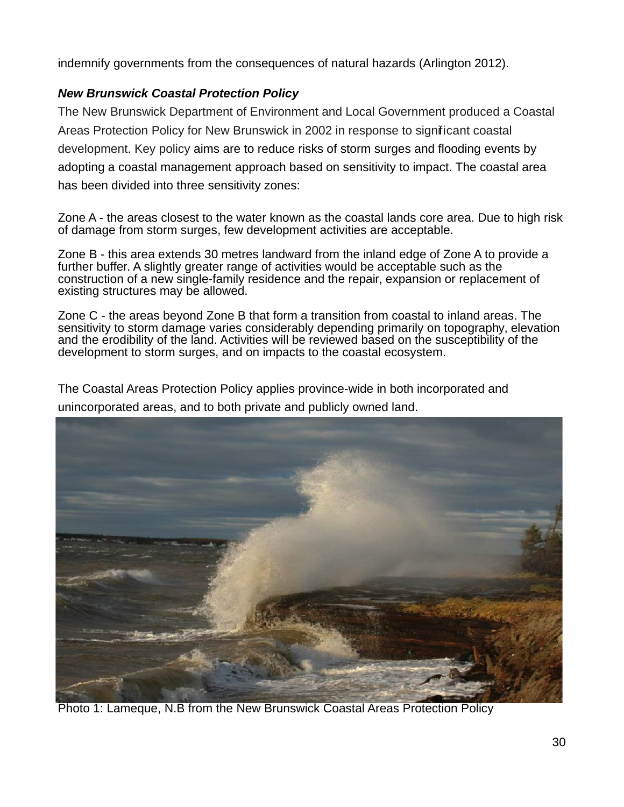indemnify governments from the consequences of natural hazards (Arlington 2012).

### **New Brunswick Coastal Protection Policy**

The New Brunswick Department of Environment and Local Government produced a Coastal Areas Protection Policy for New Brunswick in 2002 in response to significant coastal development. Key policy aims are to reduce risks of storm surges and flooding events by adopting a coastal management approach based on sensitivity to impact. The coastal area has been divided into three sensitivity zones:

Zone A - the areas closest to the water known as the coastal lands core area. Due to high risk of damage from storm surges, few development activities are acceptable.

Zone B - this area extends 30 metres landward from the inland edge of Zone A to provide a further buffer. A slightly greater range of activities would be acceptable such as the construction of a new single-family residence and the repair, expansion or replacement of existing structures may be allowed.

Zone C - the areas beyond Zone B that form a transition from coastal to inland areas. The sensitivity to storm damage varies considerably depending primarily on topography, elevation and the erodibility of the land. Activities will be reviewed based on the susceptibility of the development to storm surges, and on impacts to the coastal ecosystem.

The Coastal Areas Protection Policy applies province-wide in both incorporated and unincorporated areas, and to both private and publicly owned land.



Photo 1: Lameque, N.B from the New Brunswick Coastal Areas Protection Policy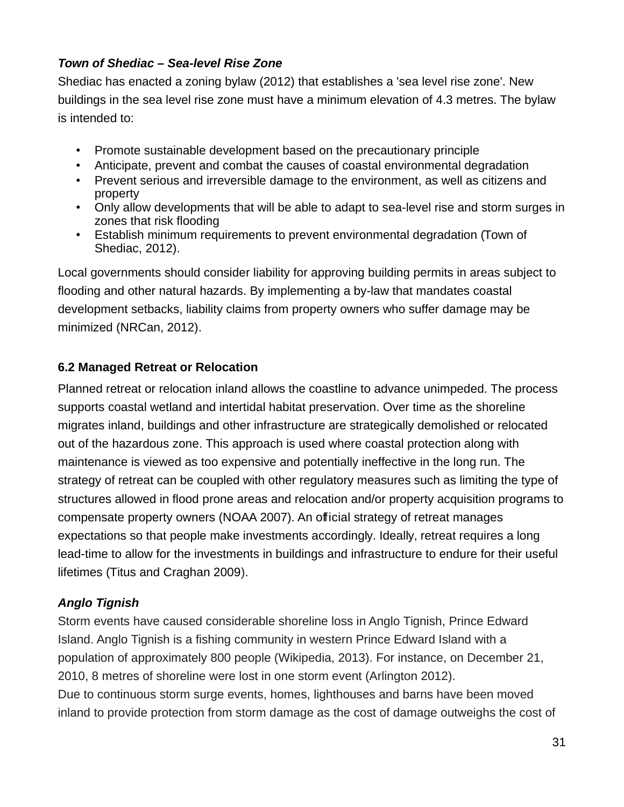#### **Town of Shediac – Sea-level Rise Zone**

Shediac has enacted a zoning bylaw (2012) that establishes a 'sea level rise zone'. New buildings in the sea level rise zone must have a minimum elevation of 4.3 metres. The bylaw is intended to:

- Promote sustainable development based on the precautionary principle
- Anticipate, prevent and combat the causes of coastal environmental degradation
- Prevent serious and irreversible damage to the environment, as well as citizens and property
- Only allow developments that will be able to adapt to sea-level rise and storm surges in zones that risk flooding
- Establish minimum requirements to prevent environmental degradation (Town of Shediac, 2012).

Local governments should consider liability for approving building permits in areas subject to flooding and other natural hazards. By implementing a by-law that mandates coastal development setbacks, liability claims from property owners who suffer damage may be minimized (NRCan, 2012).

### **6.2 Managed Retreat or Relocation**

Planned retreat or relocation inland allows the coastline to advance unimpeded. The process supports coastal wetland and intertidal habitat preservation. Over time as the shoreline migrates inland, buildings and other infrastructure are strategically demolished or relocated out of the hazardous zone. This approach is used where coastal protection along with maintenance is viewed as too expensive and potentially ineffective in the long run. The strategy of retreat can be coupled with other regulatory measures such as limiting the type of structures allowed in flood prone areas and relocation and/or property acquisition programs to compensate property owners (NOAA 2007). An official strategy of retreat manages expectations so that people make investments accordingly. Ideally, retreat requires a long lead-time to allow for the investments in buildings and infrastructure to endure for their useful lifetimes (Titus and Craghan 2009).

## **Anglo Tignish**

Storm events have caused considerable shoreline loss in Anglo Tignish, Prince Edward Island. Anglo Tignish is a fishing community in western Prince Edward Island with a population of approximately 800 people (Wikipedia, 2013). For instance, on December 21, 2010, 8 metres of shoreline were lost in one storm event (Arlington 2012). Due to continuous storm surge events, homes, lighthouses and barns have been moved inland to provide protection from storm damage as the cost of damage outweighs the cost of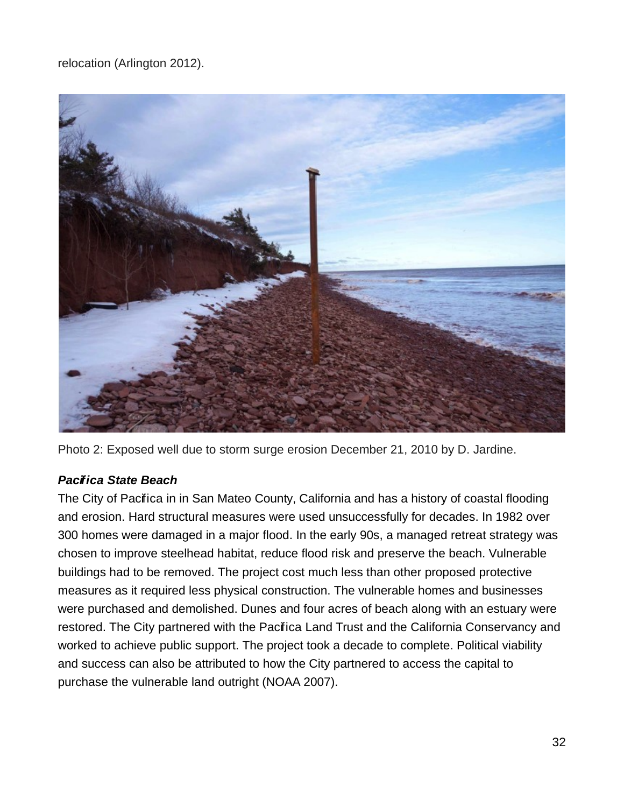relocation (Arlington 2012).



Photo 2: Exposed well due to storm surge erosion December 21, 2010 by D. Jardine.

### **Pacifica State Beach**

The City of Pacifica in in San Mateo County, California and has a history of coastal flooding and erosion. Hard structural measures were used unsuccessfully for decades. In 1982 over 300 homes were damaged in a major flood. In the early 90s, a managed retreat strategy was chosen to improve steelhead habitat, reduce flood risk and preserve the beach. Vulnerable buildings had to be removed. The project cost much less than other proposed protective measures as it required less physical construction. The vulnerable homes and businesses were purchased and demolished. Dunes and four acres of beach along with an estuary were restored. The City partnered with the Pacifica Land Trust and the California Conservancy and worked to achieve public support. The project took a decade to complete. Political viability and success can also be attributed to how the City partnered to access the capital to purchase the vulnerable land outright (NOAA 2007).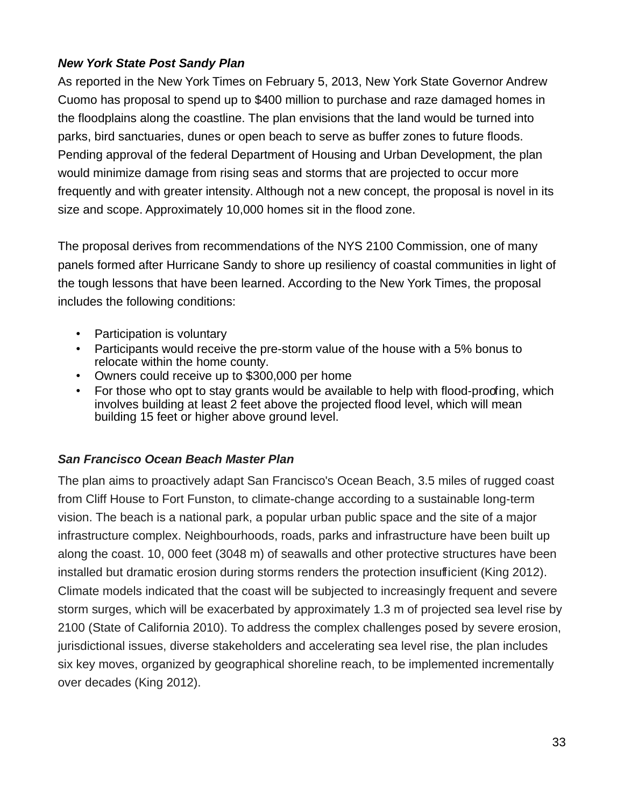#### **New York State Post Sandy Plan**

As reported in the New York Times on February 5, 2013, New York State Governor Andrew Cuomo has proposal to spend up to \$400 million to purchase and raze damaged homes in the floodplains along the coastline. The plan envisions that the land would be turned into parks, bird sanctuaries, dunes or open beach to serve as buffer zones to future floods. Pending approval of the federal Department of Housing and Urban Development, the plan would minimize damage from rising seas and storms that are projected to occur more frequently and with greater intensity. Although not a new concept, the proposal is novel in its size and scope. Approximately 10,000 homes sit in the flood zone.

The proposal derives from recommendations of the NYS 2100 Commission, one of many panels formed after Hurricane Sandy to shore up resiliency of coastal communities in light of the tough lessons that have been learned. According to the New York Times, the proposal includes the following conditions:

- Participation is voluntary
- Participants would receive the pre-storm value of the house with a 5% bonus to relocate within the home county.
- Owners could receive up to \$300,000 per home
- For those who opt to stay grants would be available to help with flood-proofing, which involves building at least 2 feet above the projected flood level, which will mean building 15 feet or higher above ground level.

#### **San Francisco Ocean Beach Master Plan**

The plan aims to proactively adapt San Francisco's Ocean Beach, 3.5 miles of rugged coast from Cliff House to Fort Funston, to climate-change according to a sustainable long-term vision. The beach is a national park, a popular urban public space and the site of a major infrastructure complex. Neighbourhoods, roads, parks and infrastructure have been built up along the coast. 10, 000 feet (3048 m) of seawalls and other protective structures have been installed but dramatic erosion during storms renders the protection insufficient (King 2012). Climate models indicated that the coast will be subjected to increasingly frequent and severe storm surges, which will be exacerbated by approximately 1.3 m of projected sea level rise by 2100 (State of California 2010). To address the complex challenges posed by severe erosion, jurisdictional issues, diverse stakeholders and accelerating sea level rise, the plan includes six key moves, organized by geographical shoreline reach, to be implemented incrementally over decades (King 2012).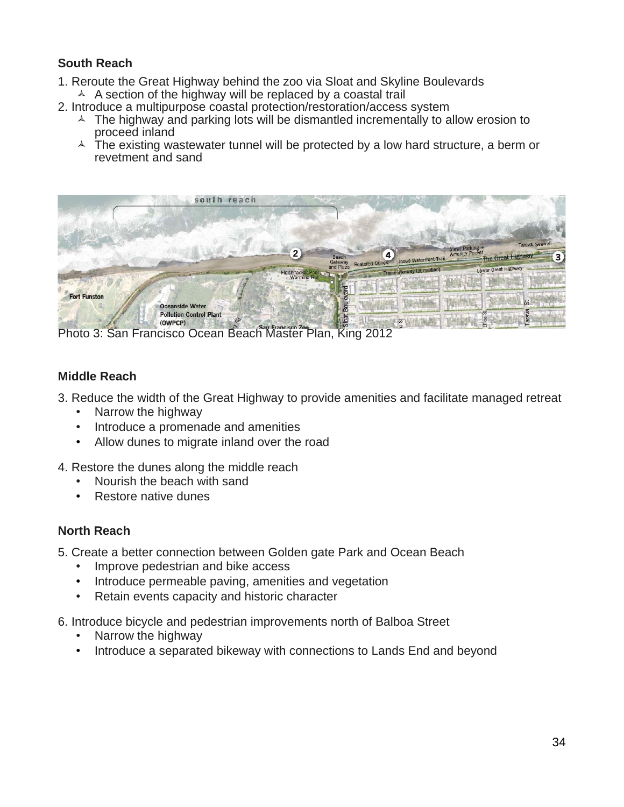#### **South Reach**

- 1. Reroute the Great Highway behind the zoo via Sloat and Skyline Boulevards
- $\triangle$  A section of the highway will be replaced by a coastal trail
- 2. Introduce a multipurpose coastal protection/restoration/access system
	- $\triangle$  The highway and parking lots will be dismantled incrementally to allow erosion to proceed inland
	- $\triangle$  The existing wastewater tunnel will be protected by a low hard structure, a berm or revetment and sand



Photo 3: San Francisco Ocean Beach Master Plan, King 2012

#### **Middle Reach**

3. Reduce the width of the Great Highway to provide amenities and facilitate managed retreat

- Narrow the highway
- Introduce a promenade and amenities
- Allow dunes to migrate inland over the road
- 4. Restore the dunes along the middle reach
	- Nourish the beach with sand
	- Restore native dunes

#### **North Reach**

5. Create a better connection between Golden gate Park and Ocean Beach

- Improve pedestrian and bike access
- Introduce permeable paving, amenities and vegetation
- Retain events capacity and historic character
- 6. Introduce bicycle and pedestrian improvements north of Balboa Street
	- Narrow the highway
	- Introduce a separated bikeway with connections to Lands End and beyond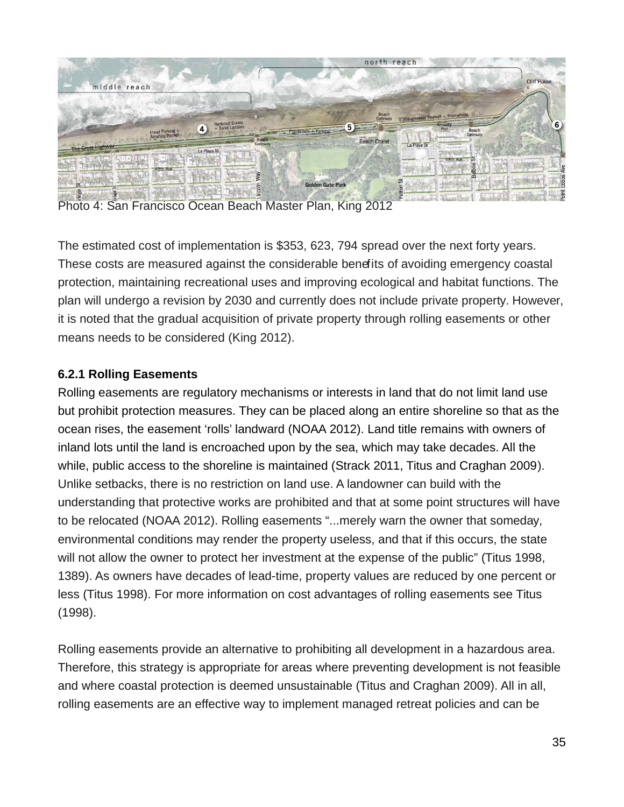

Photo 4: San Francisco Ocean Beach Master Plan, King 2012

The estimated cost of implementation is \$353, 623, 794 spread over the next forty years. These costs are measured against the considerable benefits of avoiding emergency coastal protection, maintaining recreational uses and improving ecological and habitat functions. The plan will undergo a revision by 2030 and currently does not include private property. However, it is noted that the gradual acquisition of private property through rolling easements or other means needs to be considered (King 2012).

#### **6.2.1 Rolling Easements**

Rolling easements are regulatory mechanisms or interests in land that do not limit land use but prohibit protection measures. They can be placed along an entire shoreline so that as the ocean rises, the easement 'rolls' landward (NOAA 2012). Land title remains with owners of inland lots until the land is encroached upon by the sea, which may take decades. All the while, public access to the shoreline is maintained (Strack 2011, Titus and Craghan 2009). Unlike setbacks, there is no restriction on land use. A landowner can build with the understanding that protective works are prohibited and that at some point structures will have to be relocated (NOAA 2012). Rolling easements "...merely warn the owner that someday, environmental conditions may render the property useless, and that if this occurs, the state will not allow the owner to protect her investment at the expense of the public" (Titus 1998, 1389). As owners have decades of lead-time, property values are reduced by one percent or less (Titus 1998). For more information on cost advantages of rolling easements see Titus (1998).

Rolling easements provide an alternative to prohibiting all development in a hazardous area. Therefore, this strategy is appropriate for areas where preventing development is not feasible and where coastal protection is deemed unsustainable (Titus and Craghan 2009). All in all, rolling easements are an effective way to implement managed retreat policies and can be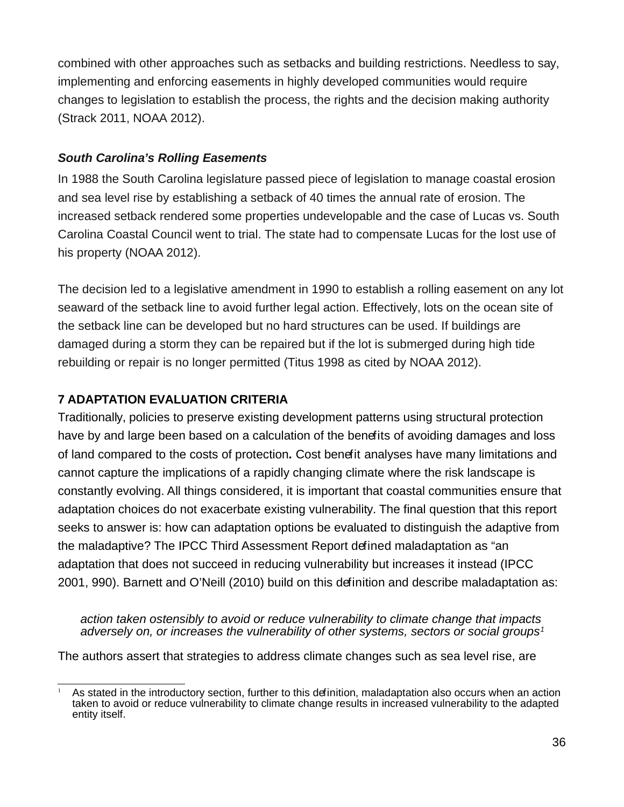combined with other approaches such as setbacks and building restrictions. Needless to say, implementing and enforcing easements in highly developed communities would require changes to legislation to establish the process, the rights and the decision making authority (Strack 2011, NOAA 2012).

#### **South Carolina's Rolling Easements**

In 1988 the South Carolina legislature passed piece of legislation to manage coastal erosion and sea level rise by establishing a setback of 40 times the annual rate of erosion. The increased setback rendered some properties undevelopable and the case of Lucas vs. South Carolina Coastal Council went to trial. The state had to compensate Lucas for the lost use of his property (NOAA 2012).

The decision led to a legislative amendment in 1990 to establish a rolling easement on any lot seaward of the setback line to avoid further legal action. Effectively, lots on the ocean site of the setback line can be developed but no hard structures can be used. If buildings are damaged during a storm they can be repaired but if the lot is submerged during high tide rebuilding or repair is no longer permitted (Titus 1998 as cited by NOAA 2012).

## **7 ADAPTATION EVALUATION CRITERIA**

Traditionally, policies to preserve existing development patterns using structural protection have by and large been based on a calculation of the benefits of avoiding damages and loss of land compared to the costs of protection**.** Cost benefit analyses have many limitations and cannot capture the implications of a rapidly changing climate where the risk landscape is constantly evolving. All things considered, it is important that coastal communities ensure that adaptation choices do not exacerbate existing vulnerability. The final question that this report seeks to answer is: how can adaptation options be evaluated to distinguish the adaptive from the maladaptive? The IPCC Third Assessment Report defined maladaptation as "an adaptation that does not succeed in reducing vulnerability but increases it instead (IPCC 2001, 990). Barnett and O'Neill (2010) build on this definition and describe maladaptation as:

action taken ostensibly to avoid or reduce vulnerability to climate change that impacts adversely on, or increases the vulnerability of other systems, sectors or social groups<sup>[1](#page-37-0)</sup>

The authors assert that strategies to address climate changes such as sea level rise, are

<span id="page-37-0"></span>As stated in the introductory section, further to this definition, maladaptation also occurs when an action taken to avoid or reduce vulnerability to climate change results in increased vulnerability to the adapted entity itself.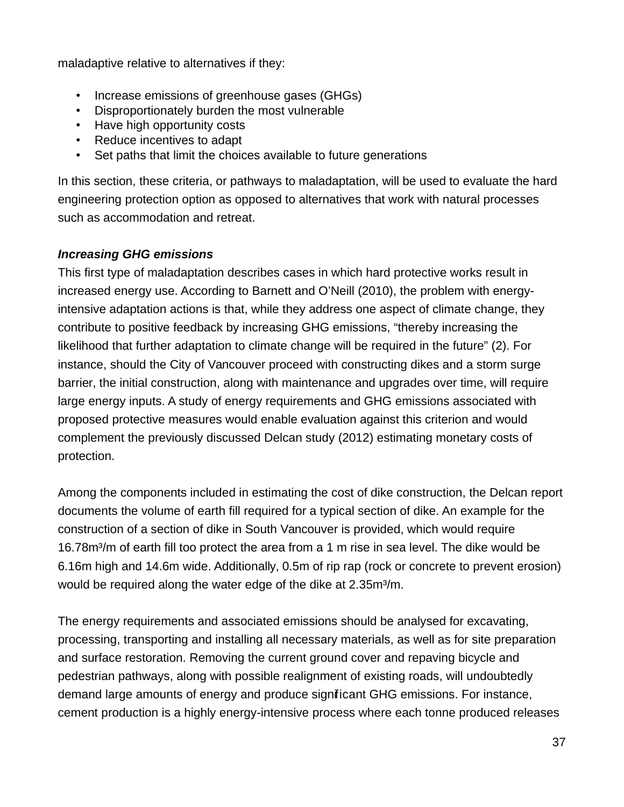maladaptive relative to alternatives if they:

- Increase emissions of greenhouse gases (GHGs)
- Disproportionately burden the most vulnerable
- Have high opportunity costs
- Reduce incentives to adapt
- Set paths that limit the choices available to future generations

In this section, these criteria, or pathways to maladaptation, will be used to evaluate the hard engineering protection option as opposed to alternatives that work with natural processes such as accommodation and retreat.

### **Increasing GHG emissions**

This first type of maladaptation describes cases in which hard protective works result in increased energy use. According to Barnett and O'Neill (2010), the problem with energyintensive adaptation actions is that, while they address one aspect of climate change, they contribute to positive feedback by increasing GHG emissions, "thereby increasing the likelihood that further adaptation to climate change will be required in the future" (2). For instance, should the City of Vancouver proceed with constructing dikes and a storm surge barrier, the initial construction, along with maintenance and upgrades over time, will require large energy inputs. A study of energy requirements and GHG emissions associated with proposed protective measures would enable evaluation against this criterion and would complement the previously discussed Delcan study (2012) estimating monetary costs of protection.

Among the components included in estimating the cost of dike construction, the Delcan report documents the volume of earth fill required for a typical section of dike. An example for the construction of a section of dike in South Vancouver is provided, which would require 16.78m<sup>3</sup>/m of earth fill too protect the area from a 1 m rise in sea level. The dike would be 6.16m high and 14.6m wide. Additionally, 0.5m of rip rap (rock or concrete to prevent erosion) would be required along the water edge of the dike at 2.35m<sup>3</sup>/m.

The energy requirements and associated emissions should be analysed for excavating, processing, transporting and installing all necessary materials, as well as for site preparation and surface restoration. Removing the current ground cover and repaving bicycle and pedestrian pathways, along with possible realignment of existing roads, will undoubtedly demand large amounts of energy and produce significant GHG emissions. For instance, cement production is a highly energy-intensive process where each tonne produced releases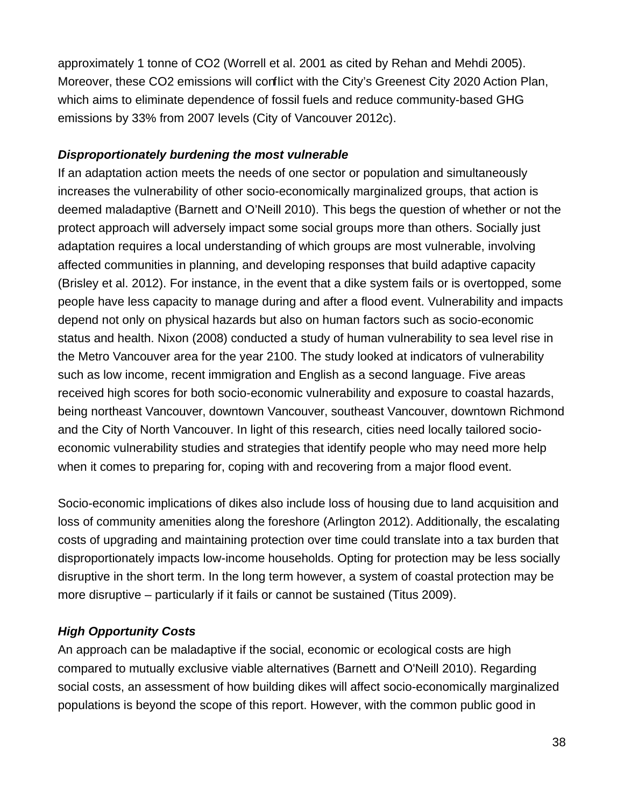approximately 1 tonne of CO2 (Worrell et al. 2001 as cited by Rehan and Mehdi 2005). Moreover, these CO2 emissions will conflict with the City's Greenest City 2020 Action Plan, which aims to eliminate dependence of fossil fuels and reduce community-based GHG emissions by 33% from 2007 levels (City of Vancouver 2012c).

#### **Disproportionately burdening the most vulnerable**

If an adaptation action meets the needs of one sector or population and simultaneously increases the vulnerability of other socio-economically marginalized groups, that action is deemed maladaptive (Barnett and O'Neill 2010). This begs the question of whether or not the protect approach will adversely impact some social groups more than others. Socially just adaptation requires a local understanding of which groups are most vulnerable, involving affected communities in planning, and developing responses that build adaptive capacity (Brisley et al. 2012). For instance, in the event that a dike system fails or is overtopped, some people have less capacity to manage during and after a flood event. Vulnerability and impacts depend not only on physical hazards but also on human factors such as socio-economic status and health. Nixon (2008) conducted a study of human vulnerability to sea level rise in the Metro Vancouver area for the year 2100. The study looked at indicators of vulnerability such as low income, recent immigration and English as a second language. Five areas received high scores for both socio-economic vulnerability and exposure to coastal hazards, being northeast Vancouver, downtown Vancouver, southeast Vancouver, downtown Richmond and the City of North Vancouver. In light of this research, cities need locally tailored socioeconomic vulnerability studies and strategies that identify people who may need more help when it comes to preparing for, coping with and recovering from a major flood event.

Socio-economic implications of dikes also include loss of housing due to land acquisition and loss of community amenities along the foreshore (Arlington 2012). Additionally, the escalating costs of upgrading and maintaining protection over time could translate into a tax burden that disproportionately impacts low-income households. Opting for protection may be less socially disruptive in the short term. In the long term however, a system of coastal protection may be more disruptive – particularly if it fails or cannot be sustained (Titus 2009).

### **High Opportunity Costs**

An approach can be maladaptive if the social, economic or ecological costs are high compared to mutually exclusive viable alternatives (Barnett and O'Neill 2010). Regarding social costs, an assessment of how building dikes will affect socio-economically marginalized populations is beyond the scope of this report. However, with the common public good in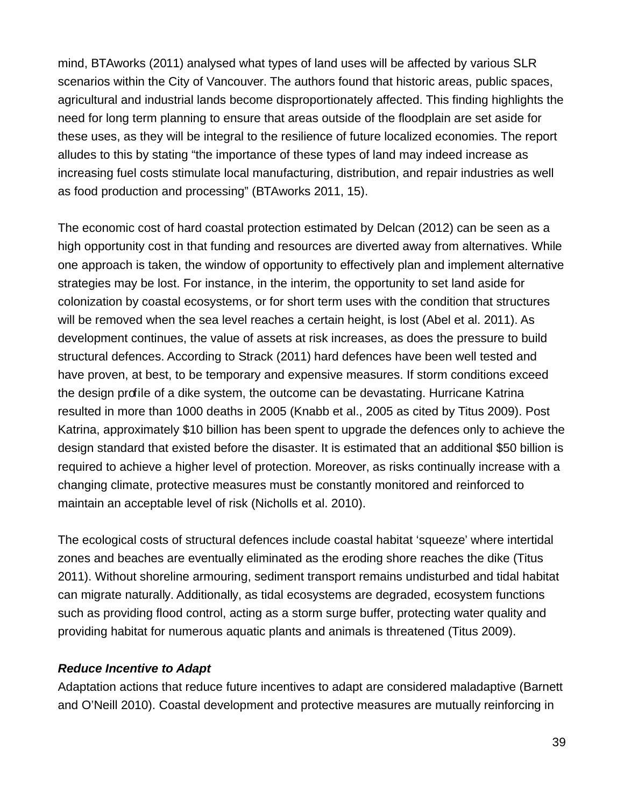mind, BTAworks (2011) analysed what types of land uses will be affected by various SLR scenarios within the City of Vancouver. The authors found that historic areas, public spaces, agricultural and industrial lands become disproportionately affected. This finding highlights the need for long term planning to ensure that areas outside of the floodplain are set aside for these uses, as they will be integral to the resilience of future localized economies. The report alludes to this by stating "the importance of these types of land may indeed increase as increasing fuel costs stimulate local manufacturing, distribution, and repair industries as well as food production and processing" (BTAworks 2011, 15).

The economic cost of hard coastal protection estimated by Delcan (2012) can be seen as a high opportunity cost in that funding and resources are diverted away from alternatives. While one approach is taken, the window of opportunity to effectively plan and implement alternative strategies may be lost. For instance, in the interim, the opportunity to set land aside for colonization by coastal ecosystems, or for short term uses with the condition that structures will be removed when the sea level reaches a certain height, is lost (Abel et al. 2011). As development continues, the value of assets at risk increases, as does the pressure to build structural defences. According to Strack (2011) hard defences have been well tested and have proven, at best, to be temporary and expensive measures. If storm conditions exceed the design profile of a dike system, the outcome can be devastating. Hurricane Katrina resulted in more than 1000 deaths in 2005 (Knabb et al., 2005 as cited by Titus 2009). Post Katrina, approximately \$10 billion has been spent to upgrade the defences only to achieve the design standard that existed before the disaster. It is estimated that an additional \$50 billion is required to achieve a higher level of protection. Moreover, as risks continually increase with a changing climate, protective measures must be constantly monitored and reinforced to maintain an acceptable level of risk (Nicholls et al. 2010).

The ecological costs of structural defences include coastal habitat 'squeeze' where intertidal zones and beaches are eventually eliminated as the eroding shore reaches the dike (Titus 2011). Without shoreline armouring, sediment transport remains undisturbed and tidal habitat can migrate naturally. Additionally, as tidal ecosystems are degraded, ecosystem functions such as providing flood control, acting as a storm surge buffer, protecting water quality and providing habitat for numerous aquatic plants and animals is threatened (Titus 2009).

#### **Reduce Incentive to Adapt**

Adaptation actions that reduce future incentives to adapt are considered maladaptive (Barnett and O'Neill 2010). Coastal development and protective measures are mutually reinforcing in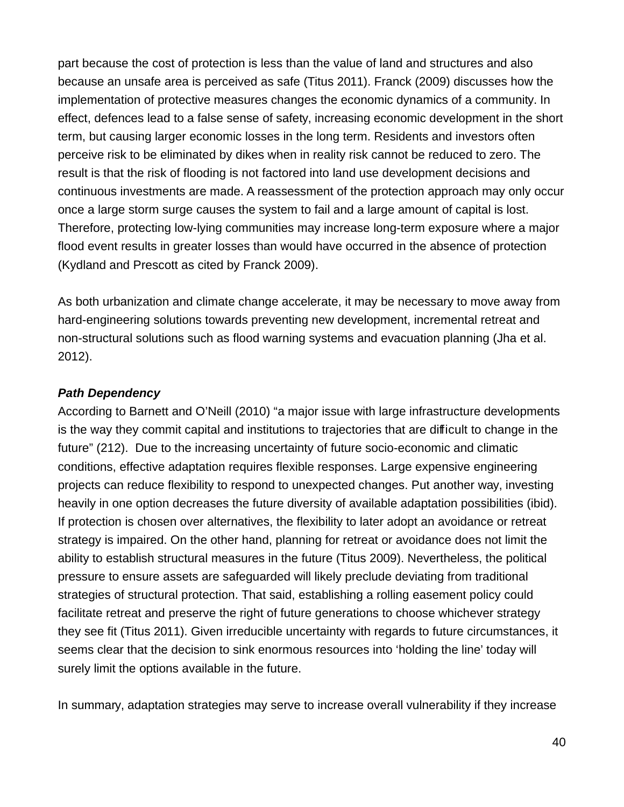part because the cost of protection is less than the value of land and structures and also because an unsafe area is perceived as safe (Titus 2011). Franck (2009) discusses how the implementation of protective measures changes the economic dynamics of a community. In effect, defences lead to a false sense of safety, increasing economic development in the short term, but causing larger economic losses in the long term. Residents and investors often perceive risk to be eliminated by dikes when in reality risk cannot be reduced to zero. The result is that the risk of flooding is not factored into land use development decisions and continuous investments are made. A reassessment of the protection approach may only occur once a large storm surge causes the system to fail and a large amount of capital is lost. Therefore, protecting low-lying communities may increase long-term exposure where a major flood event results in greater losses than would have occurred in the absence of protection (Kydland and Prescott as cited by Franck 2009).

As both urbanization and climate change accelerate, it may be necessary to move away from hard-engineering solutions towards preventing new development, incremental retreat and non-structural solutions such as flood warning systems and evacuation planning (Jha et al. 2012).

#### **Path Dependency**

According to Barnett and O'Neill (2010) "a major issue with large infrastructure developments is the way they commit capital and institutions to trajectories that are difficult to change in the future" (212). Due to the increasing uncertainty of future socio-economic and climatic conditions, effective adaptation requires flexible responses. Large expensive engineering projects can reduce flexibility to respond to unexpected changes. Put another way, investing heavily in one option decreases the future diversity of available adaptation possibilities (ibid). If protection is chosen over alternatives, the flexibility to later adopt an avoidance or retreat strategy is impaired. On the other hand, planning for retreat or avoidance does not limit the ability to establish structural measures in the future (Titus 2009). Nevertheless, the political pressure to ensure assets are safeguarded will likely preclude deviating from traditional strategies of structural protection. That said, establishing a rolling easement policy could facilitate retreat and preserve the right of future generations to choose whichever strategy they see fit (Titus 2011). Given irreducible uncertainty with regards to future circumstances, it seems clear that the decision to sink enormous resources into 'holding the line' today will surely limit the options available in the future.

In summary, adaptation strategies may serve to increase overall vulnerability if they increase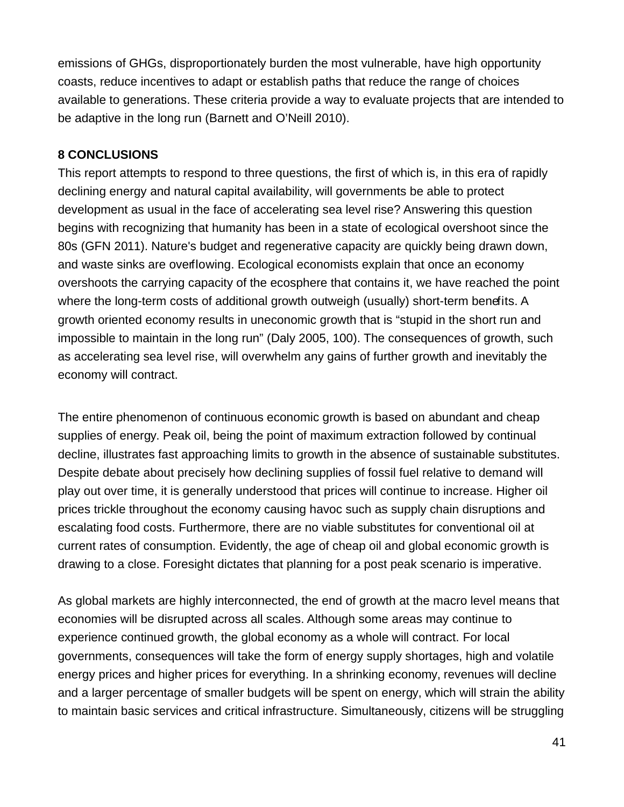emissions of GHGs, disproportionately burden the most vulnerable, have high opportunity coasts, reduce incentives to adapt or establish paths that reduce the range of choices available to generations. These criteria provide a way to evaluate projects that are intended to be adaptive in the long run (Barnett and O'Neill 2010).

#### **8 CONCLUSIONS**

This report attempts to respond to three questions, the first of which is, in this era of rapidly declining energy and natural capital availability, will governments be able to protect development as usual in the face of accelerating sea level rise? Answering this question begins with recognizing that humanity has been in a state of ecological overshoot since the 80s (GFN 2011). Nature's budget and regenerative capacity are quickly being drawn down, and waste sinks are overflowing. Ecological economists explain that once an economy overshoots the carrying capacity of the ecosphere that contains it, we have reached the point where the long-term costs of additional growth outweigh (usually) short-term benefits. A growth oriented economy results in uneconomic growth that is "stupid in the short run and impossible to maintain in the long run" (Daly 2005, 100). The consequences of growth, such as accelerating sea level rise, will overwhelm any gains of further growth and inevitably the economy will contract.

The entire phenomenon of continuous economic growth is based on abundant and cheap supplies of energy. Peak oil, being the point of maximum extraction followed by continual decline, illustrates fast approaching limits to growth in the absence of sustainable substitutes. Despite debate about precisely how declining supplies of fossil fuel relative to demand will play out over time, it is generally understood that prices will continue to increase. Higher oil prices trickle throughout the economy causing havoc such as supply chain disruptions and escalating food costs. Furthermore, there are no viable substitutes for conventional oil at current rates of consumption. Evidently, the age of cheap oil and global economic growth is drawing to a close. Foresight dictates that planning for a post peak scenario is imperative.

As global markets are highly interconnected, the end of growth at the macro level means that economies will be disrupted across all scales. Although some areas may continue to experience continued growth, the global economy as a whole will contract. For local governments, consequences will take the form of energy supply shortages, high and volatile energy prices and higher prices for everything. In a shrinking economy, revenues will decline and a larger percentage of smaller budgets will be spent on energy, which will strain the ability to maintain basic services and critical infrastructure. Simultaneously, citizens will be struggling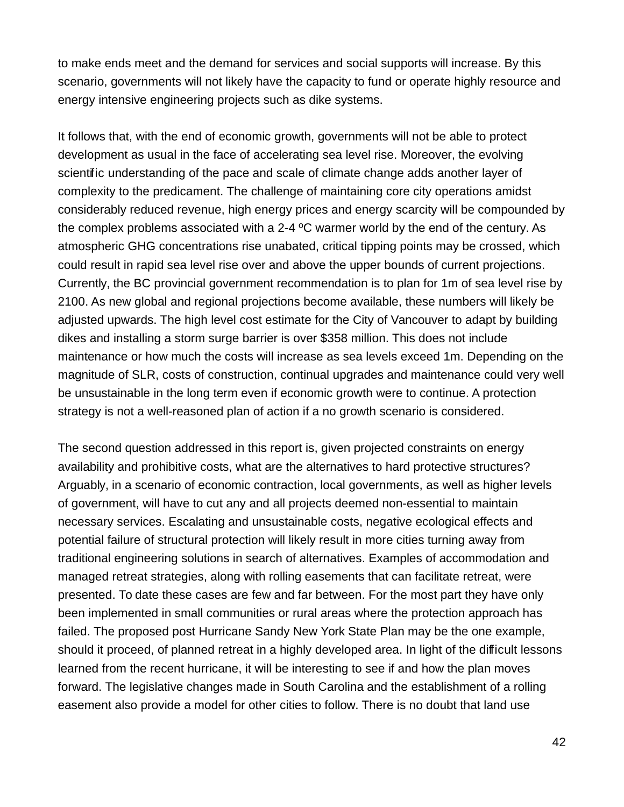to make ends meet and the demand for services and social supports will increase. By this scenario, governments will not likely have the capacity to fund or operate highly resource and energy intensive engineering projects such as dike systems.

It follows that, with the end of economic growth, governments will not be able to protect development as usual in the face of accelerating sea level rise. Moreover, the evolving scientific understanding of the pace and scale of climate change adds another layer of complexity to the predicament. The challenge of maintaining core city operations amidst considerably reduced revenue, high energy prices and energy scarcity will be compounded by the complex problems associated with a 2-4 ºC warmer world by the end of the century. As atmospheric GHG concentrations rise unabated, critical tipping points may be crossed, which could result in rapid sea level rise over and above the upper bounds of current projections. Currently, the BC provincial government recommendation is to plan for 1m of sea level rise by 2100. As new global and regional projections become available, these numbers will likely be adjusted upwards. The high level cost estimate for the City of Vancouver to adapt by building dikes and installing a storm surge barrier is over \$358 million. This does not include maintenance or how much the costs will increase as sea levels exceed 1m. Depending on the magnitude of SLR, costs of construction, continual upgrades and maintenance could very well be unsustainable in the long term even if economic growth were to continue. A protection strategy is not a well-reasoned plan of action if a no growth scenario is considered.

The second question addressed in this report is, given projected constraints on energy availability and prohibitive costs, what are the alternatives to hard protective structures? Arguably, in a scenario of economic contraction, local governments, as well as higher levels of government, will have to cut any and all projects deemed non-essential to maintain necessary services. Escalating and unsustainable costs, negative ecological effects and potential failure of structural protection will likely result in more cities turning away from traditional engineering solutions in search of alternatives. Examples of accommodation and managed retreat strategies, along with rolling easements that can facilitate retreat, were presented. To date these cases are few and far between. For the most part they have only been implemented in small communities or rural areas where the protection approach has failed. The proposed post Hurricane Sandy New York State Plan may be the one example, should it proceed, of planned retreat in a highly developed area. In light of the difficult lessons learned from the recent hurricane, it will be interesting to see if and how the plan moves forward. The legislative changes made in South Carolina and the establishment of a rolling easement also provide a model for other cities to follow. There is no doubt that land use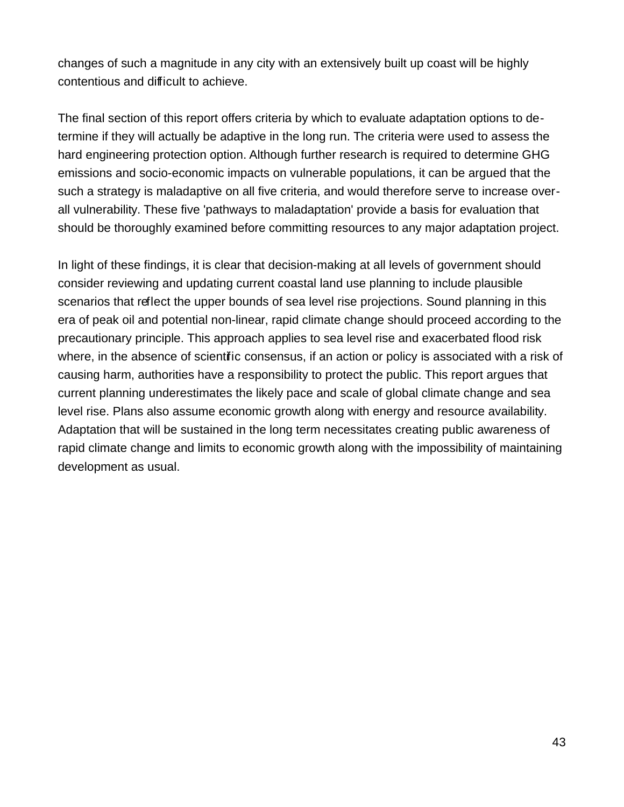changes of such a magnitude in any city with an extensively built up coast will be highly contentious and difficult to achieve.

The final section of this report offers criteria by which to evaluate adaptation options to determine if they will actually be adaptive in the long run. The criteria were used to assess the hard engineering protection option. Although further research is required to determine GHG emissions and socio-economic impacts on vulnerable populations, it can be argued that the such a strategy is maladaptive on all five criteria, and would therefore serve to increase overall vulnerability. These five 'pathways to maladaptation' provide a basis for evaluation that should be thoroughly examined before committing resources to any major adaptation project.

In light of these findings, it is clear that decision-making at all levels of government should consider reviewing and updating current coastal land use planning to include plausible scenarios that reflect the upper bounds of sea level rise projections. Sound planning in this era of peak oil and potential non-linear, rapid climate change should proceed according to the precautionary principle. This approach applies to sea level rise and exacerbated flood risk where, in the absence of scientific consensus, if an action or policy is associated with a risk of causing harm, authorities have a responsibility to protect the public. This report argues that current planning underestimates the likely pace and scale of global climate change and sea level rise. Plans also assume economic growth along with energy and resource availability. Adaptation that will be sustained in the long term necessitates creating public awareness of rapid climate change and limits to economic growth along with the impossibility of maintaining development as usual.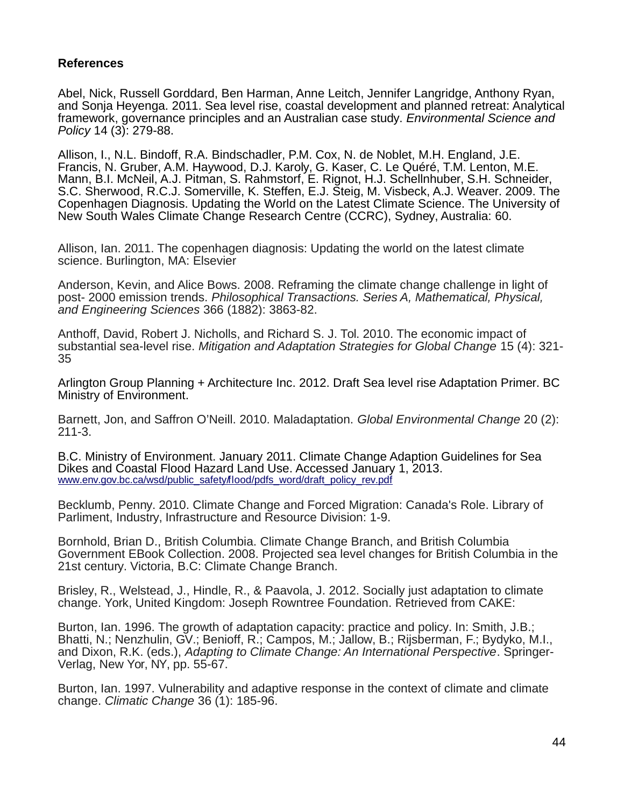#### **References**

Abel, Nick, Russell Gorddard, Ben Harman, Anne Leitch, Jennifer Langridge, Anthony Ryan, and Sonja Heyenga. 2011. Sea level rise, coastal development and planned retreat: Analytical framework, governance principles and an Australian case study. *Environmental Science and* Policy 14 (3): 279-88.

Allison, I., N.L. Bindoff, R.A. Bindschadler, P.M. Cox, N. de Noblet, M.H. England, J.E. Francis, N. Gruber, A.M. Haywood, D.J. Karoly, G. Kaser, C. Le Quéré, T.M. Lenton, M.E. Mann, B.I. McNeil, A.J. Pitman, S. Rahmstorf, E. Rignot, H.J. Schellnhuber, S.H. Schneider, S.C. Sherwood, R.C.J. Somerville, K. Steffen, E.J. Steig, M. Visbeck, A.J. Weaver. 2009. The Copenhagen Diagnosis. Updating the World on the Latest Climate Science. The University of New South Wales Climate Change Research Centre (CCRC), Sydney, Australia: 60.

Allison, Ian. 2011. The copenhagen diagnosis: Updating the world on the latest climate science. Burlington, MA: Elsevier

Anderson, Kevin, and Alice Bows. 2008. Reframing the climate change challenge in light of post- 2000 emission trends. Philosophical Transactions. Series A, Mathematical, Physical, and Engineering Sciences 366 (1882): 3863-82.

Anthoff, David, Robert J. Nicholls, and Richard S. J. Tol. 2010. The economic impact of substantial sea-level rise. Mitigation and Adaptation Strategies for Global Change 15 (4): 321- 35

Arlington Group Planning + Architecture Inc. 2012. Draft Sea level rise Adaptation Primer. BC Ministry of Environment.

Barnett, Jon, and Saffron O'Neill. 2010. Maladaptation. Global Environmental Change 20 (2): 211-3.

B.C. Ministry of Environment. January 2011. Climate Change Adaption Guidelines for Sea Dikes and Coastal Flood Hazard Land Use. Accessed January 1, 2013. [www.env.gov.bc.ca/wsd/public\\_safety/flood/pdfs\\_word/draft\\_policy\\_rev.pdf](http://www.env.gov.bc.ca/wsd/public_safety/flood/pdfs_word/draft_policy_rev.pdf)

Becklumb, Penny. 2010. Climate Change and Forced Migration: Canada's Role. Library of Parliment, Industry, Infrastructure and Resource Division: 1-9.

Bornhold, Brian D., British Columbia. Climate Change Branch, and British Columbia Government EBook Collection. 2008. Projected sea level changes for British Columbia in the 21st century. Victoria, B.C: Climate Change Branch.

Brisley, R., Welstead, J., Hindle, R., & Paavola, J. 2012. Socially just adaptation to climate change. York, United Kingdom: Joseph Rowntree Foundation. Retrieved from CAKE:

Burton, Ian. 1996. The growth of adaptation capacity: practice and policy. In: Smith, J.B.; Bhatti, N.; Nenzhulin, GV.; Benioff, R.; Campos, M.; Jallow, B.; Rijsberman, F.; Bydyko, M.I., and Dixon, R.K. (eds.), Adapting to Climate Change: An International Perspective. Springer-Verlag, New Yor, NY, pp. 55-67.

Burton, Ian. 1997. Vulnerability and adaptive response in the context of climate and climate change. Climatic Change 36 (1): 185-96.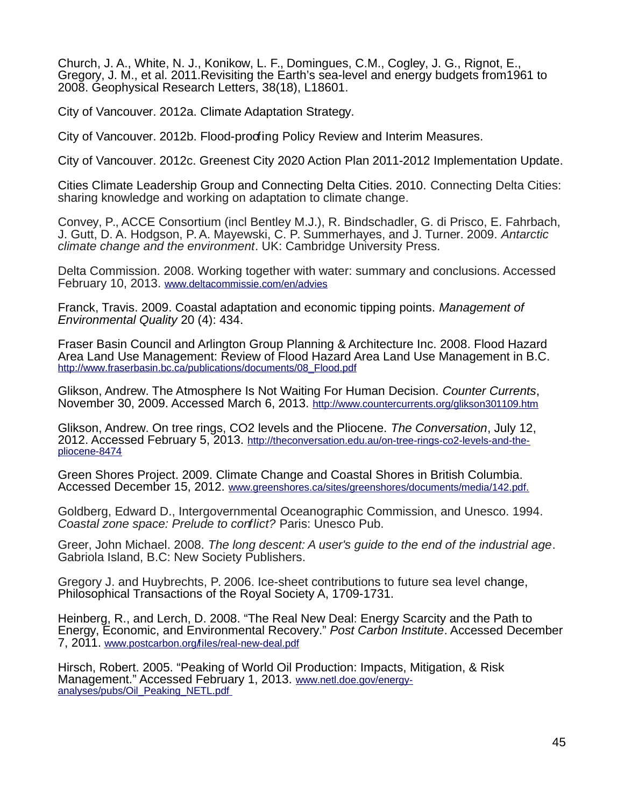Church, J. A., White, N. J., Konikow, L. F., Domingues, C.M., Cogley, J. G., Rignot, E., Gregory, J. M., et al. 2011.Revisiting the Earth's sea-level and energy budgets from1961 to 2008. Geophysical Research Letters, 38(18), L18601.

City of Vancouver. 2012a. Climate Adaptation Strategy.

City of Vancouver. 2012b. Flood-proofing Policy Review and Interim Measures.

City of Vancouver. 2012c. Greenest City 2020 Action Plan 2011-2012 Implementation Update.

Cities Climate Leadership Group and Connecting Delta Cities. 2010. Connecting Delta Cities: sharing knowledge and working on adaptation to climate change.

Convey, P., ACCE Consortium (incl Bentley M.J.), R. Bindschadler, G. di Prisco, E. Fahrbach, J. Gutt, D. A. Hodgson, P. A. Mayewski, C. P. Summerhayes, and J. Turner. 2009. Antarctic climate change and the environment. UK: Cambridge University Press.

Delta Commission. 2008. Working together with water: summary and conclusions. Accessed February 10, 2013. [www.deltacommissie.com/en/advies](http://www.deltacommissie.com/en/advies)

Franck, Travis. 2009. Coastal adaptation and economic tipping points. Management of Environmental Quality 20 (4): 434.

Fraser Basin Council and Arlington Group Planning & Architecture Inc. 2008. Flood Hazard Area Land Use Management: Review of Flood Hazard Area Land Use Management in B.C. [http://www.fraserbasin.bc.ca/publications/documents/08\\_Flood.pdf](http://www.fraserbasin.bc.ca/publications/documents/08_Flood.pdf)

Glikson, Andrew. The Atmosphere Is Not Waiting For Human Decision. Counter Currents, November 30, 2009. Accessed March 6, 2013. <http://www.countercurrents.org/glikson301109.htm>

Glikson, Andrew. On tree rings, CO2 levels and the Pliocene. The Conversation, July 12, 2012. Accessed February 5, 2013. [http://theconversation.edu.au/on-tree-rings-co2-levels-and-the](http://theconversation.edu.au/on-tree-rings-co2-levels-and-the-pliocene-8474)[pliocene-8474](http://theconversation.edu.au/on-tree-rings-co2-levels-and-the-pliocene-8474)

Green Shores Project. 2009. Climate Change and Coastal Shores in British Columbia. Accessed December 15, 2012. [www.greenshores.ca/sites/greenshores/documents/media/142.pdf.](http://www.greenshores.ca/sites/greenshores/documents/media/142.pdf.)

Goldberg, Edward D., Intergovernmental Oceanographic Commission, and Unesco. 1994. Coastal zone space: Prelude to conflict? Paris: Unesco Pub.

Greer, John Michael. 2008. The long descent: A user's guide to the end of the industrial age. Gabriola Island, B.C: New Society Publishers.

Gregory J. and Huybrechts, P. 2006. Ice-sheet contributions to future sea level change, Philosophical Transactions of the Royal Society A, 1709-1731.

Heinberg, R., and Lerch, D. 2008. "The Real New Deal: Energy Scarcity and the Path to Energy, Economic, and Environmental Recovery." Post Carbon Institute. Accessed December 7, 2011. www.postcarbon.org/riles/real-new-deal.pdf

Hirsch, Robert. 2005. "Peaking of World Oil Production: Impacts, Mitigation, & Risk Management." Accessed February 1, 2013. [www.netl.doe.gov/energy](http://www.netl.doe.gov/energy-analyses/pubs/Oil_Peaking_NETL.pdf%20)analyses/pubs/Oil\_Peaking\_NETL.pdf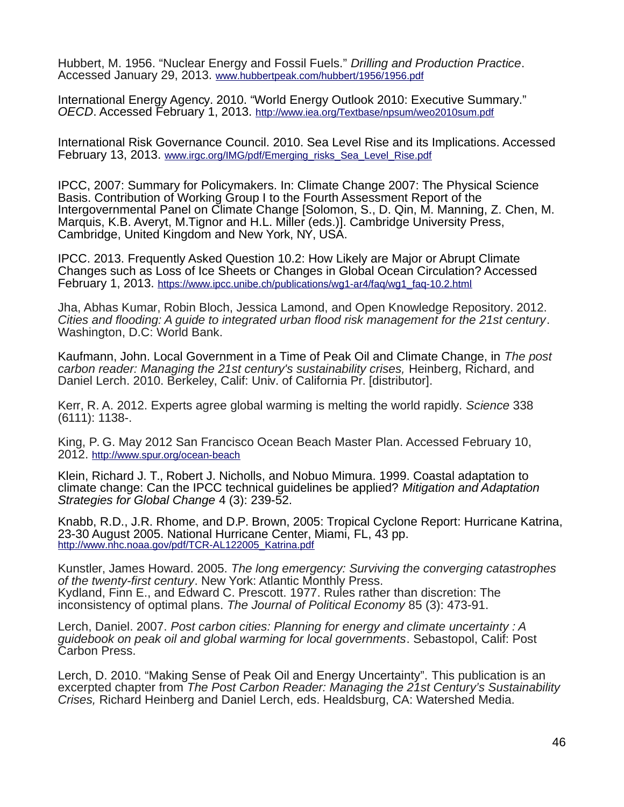Hubbert, M. 1956. "Nuclear Energy and Fossil Fuels." Drilling and Production Practice. Accessed January 29, 2013. [www.hubbertpeak.com/hubbert/1956/1956.pdf](http://www.hubbertpeak.com/hubbert/1956/1956.pdf)

International Energy Agency. 2010. "World Energy Outlook 2010: Executive Summary." OECD. Accessed February 1, 2013. <http://www.iea.org/Textbase/npsum/weo2010sum.pdf>

International Risk Governance Council. 2010. Sea Level Rise and its Implications. Accessed February 13, 2013. [www.irgc.org/IMG/pdf/Emerging\\_risks\\_Sea\\_Level\\_Rise.pdf](http://www.irgc.org/IMG/pdf/Emerging_risks_Sea_Level_Rise.pdf)

IPCC, 2007: Summary for Policymakers. In: Climate Change 2007: The Physical Science Basis. Contribution of Working Group I to the Fourth Assessment Report of the Intergovernmental Panel on Climate Change [Solomon, S., D. Qin, M. Manning, Z. Chen, M. Marquis, K.B. Averyt, M.Tignor and H.L. Miller (eds.)]. Cambridge University Press, Cambridge, United Kingdom and New York, NY, USA.

IPCC. 2013. Frequently Asked Question 10.2: How Likely are Major or Abrupt Climate Changes such as Loss of Ice Sheets or Changes in Global Ocean Circulation? Accessed February 1, 2013. [https://www.ipcc.unibe.ch/publications/wg1-ar4/faq/wg1\\_faq-10.2.html](https://www.ipcc.unibe.ch/publications/wg1-ar4/faq/wg1_faq-10.2.html)

Jha, Abhas Kumar, Robin Bloch, Jessica Lamond, and Open Knowledge Repository. 2012. Cities and flooding: A guide to integrated urban flood risk management for the 21st century. Washington, D.C: World Bank.

Kaufmann, John. Local Government in a Time of Peak Oil and Climate Change, in The post carbon reader: Managing the 21st century's sustainability crises, Heinberg, Richard, and Daniel Lerch. 2010. Berkeley, Calif: Univ. of California Pr. [distributor].

Kerr, R. A. 2012. Experts agree global warming is melting the world rapidly. Science 338 (6111): 1138-.

King, P. G. May 2012 San Francisco Ocean Beach Master Plan. Accessed February 10, 2012. <http://www.spur.org/ocean-beach>

Klein, Richard J. T., Robert J. Nicholls, and Nobuo Mimura. 1999. Coastal adaptation to climate change: Can the IPCC technical guidelines be applied? Mitigation and Adaptation Strategies for Global Change 4 (3): 239-52.

Knabb, R.D., J.R. Rhome, and D.P. Brown, 2005: Tropical Cyclone Report: Hurricane Katrina, 23-30 August 2005. National Hurricane Center, Miami, FL, 43 pp. [http://www.nhc.noaa.gov/pdf/TCR-AL122005\\_Katrina.pdf](http://www.nhc.noaa.gov/pdf/TCR-AL122005_Katrina.pdf)

Kunstler, James Howard. 2005. The long emergency: Surviving the converging catastrophes of the twenty-first century. New York: Atlantic Monthly Press. Kydland, Finn E., and Edward C. Prescott. 1977. Rules rather than discretion: The inconsistency of optimal plans. The Journal of Political Economy 85 (3): 473-91.

Lerch, Daniel. 2007. Post carbon cities: Planning for energy and climate uncertainty: A guidebook on peak oil and global warming for local governments. Sebastopol, Calif: Post Carbon Press.

Lerch, D. 2010. "Making Sense of Peak Oil and Energy Uncertainty". This publication is an excerpted chapter from The Post Carbon Reader: Managing the 21st Century's Sustainability Crises, Richard Heinberg and Daniel Lerch, eds. Healdsburg, CA: Watershed Media.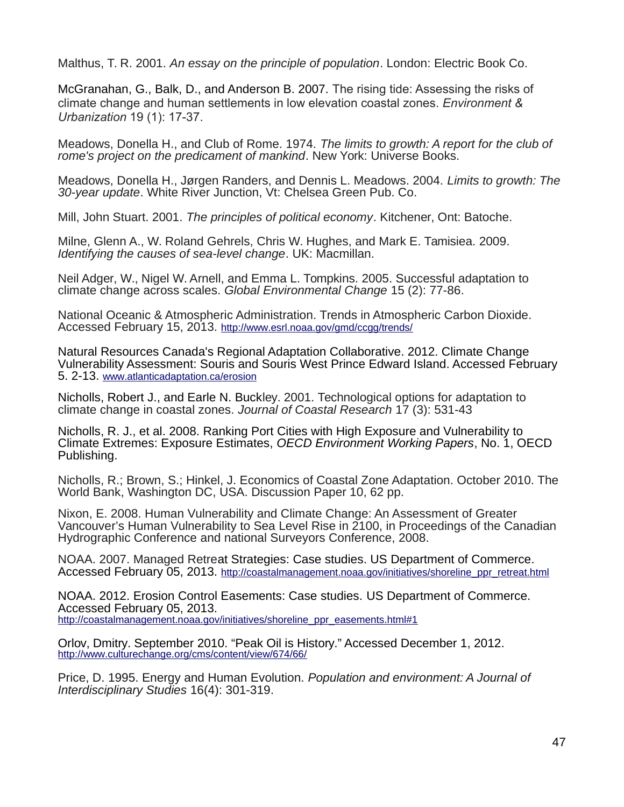Malthus, T. R. 2001. An essay on the principle of population. London: Electric Book Co.

McGranahan, G., Balk, D., and Anderson B. 2007. The rising tide: Assessing the risks of climate change and human settlements in low elevation coastal zones. *Environment & Urbanization* 19 (1): 17-37.

Meadows, Donella H., and Club of Rome. 1974. The limits to growth: A report for the club of rome's project on the predicament of mankind. New York: Universe Books.

Meadows, Donella H., Jørgen Randers, and Dennis L. Meadows. 2004. Limits to growth: The 30-year update. White River Junction, Vt: Chelsea Green Pub. Co.

Mill, John Stuart. 2001. The principles of political economy. Kitchener, Ont: Batoche.

Milne, Glenn A., W. Roland Gehrels, Chris W. Hughes, and Mark E. Tamisiea. 2009. Identifying the causes of sea-level change. UK: Macmillan.

Neil Adger, W., Nigel W. Arnell, and Emma L. Tompkins. 2005. Successful adaptation to climate change across scales. Global Environmental Change 15 (2): 77-86.

National Oceanic & Atmospheric Administration. Trends in Atmospheric Carbon Dioxide. Accessed February 15, 2013. <http://www.esrl.noaa.gov/gmd/ccgg/trends/>

Natural Resources Canada's Regional Adaptation Collaborative. 2012. Climate Change Vulnerability Assessment: Souris and Souris West Prince Edward Island. Accessed February 5. 2-13. [www.atlanticadaptation.ca/erosion](http://www.atlanticadaptation.ca/erosion)

Nicholls, Robert J., and Earle N. Buckley. 2001. Technological options for adaptation to climate change in coastal zones. Journal of Coastal Research 17 (3): 531-43

Nicholls, R. J., et al. 2008. Ranking Port Cities with High Exposure and Vulnerability to Climate Extremes: Exposure Estimates, OECD Environment Working Papers, No. 1, OECD Publishing.

Nicholls, R.; Brown, S.; Hinkel, J. Economics of Coastal Zone Adaptation. October 2010. The World Bank, Washington DC, USA. Discussion Paper 10, 62 pp.

Nixon, E. 2008. Human Vulnerability and Climate Change: An Assessment of Greater Vancouver's Human Vulnerability to Sea Level Rise in 2100, in Proceedings of the Canadian Hydrographic Conference and national Surveyors Conference, 2008.

NOAA. 2007. Managed Retreat Strategies: Case studies. US Department of Commerce. Accessed February 05, 2013. [http://coastalmanagement.noaa.gov/initiatives/shoreline\\_ppr\\_retreat.html](http://coastalmanagement.noaa.gov/initiatives/shoreline_ppr_retreat.html)

NOAA. 2012. Erosion Control Easements: Case studies. US Department of Commerce. Accessed February 05, 2013. [http://coastalmanagement.noaa.gov/initiatives/shoreline\\_ppr\\_easements.html#1](http://coastalmanagement.noaa.gov/initiatives/shoreline_ppr_easements.html#1)

Orlov, Dmitry. September 2010. "Peak Oil is History." Accessed December 1, 2012. <http://www.culturechange.org/cms/content/view/674/66/>

Price, D. 1995. Energy and Human Evolution. Population and environment: A Journal of Interdisciplinary Studies 16(4): 301-319.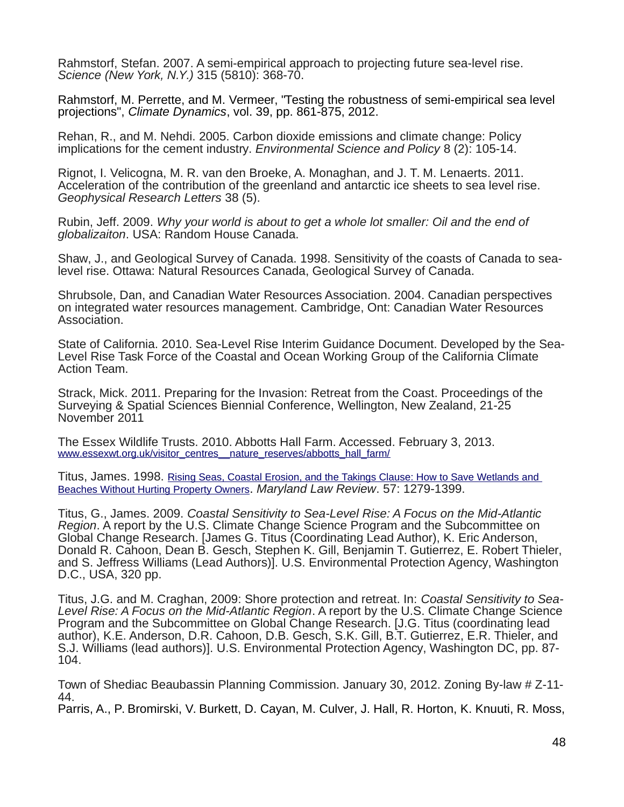Rahmstorf, Stefan. 2007. A semi-empirical approach to projecting future sea-level rise. Science (New York, N.Y.) 315 (5810): 368-70.

Rahmstorf, M. Perrette, and M. Vermeer, "Testing the robustness of semi-empirical sea level projections", Climate Dynamics, vol. 39, pp. 861-875, 2012.

Rehan, R., and M. Nehdi. 2005. Carbon dioxide emissions and climate change: Policy implications for the cement industry. Environmental Science and Policy 8 (2): 105-14.

Rignot, I. Velicogna, M. R. van den Broeke, A. Monaghan, and J. T. M. Lenaerts. 2011. Acceleration of the contribution of the greenland and antarctic ice sheets to sea level rise. Geophysical Research Letters 38 (5).

Rubin, Jeff. 2009. Why your world is about to get a whole lot smaller: Oil and the end of globalizaiton. USA: Random House Canada.

Shaw, J., and Geological Survey of Canada. 1998. Sensitivity of the coasts of Canada to sealevel rise. Ottawa: Natural Resources Canada, Geological Survey of Canada.

Shrubsole, Dan, and Canadian Water Resources Association. 2004. Canadian perspectives on integrated water resources management. Cambridge, Ont: Canadian Water Resources Association.

State of California. 2010. Sea-Level Rise Interim Guidance Document. Developed by the Sea-Level Rise Task Force of the Coastal and Ocean Working Group of the California Climate Action Team.

Strack, Mick. 2011. Preparing for the Invasion: Retreat from the Coast. Proceedings of the Surveying & Spatial Sciences Biennial Conference, Wellington, New Zealand, 21-25 November 2011

The Essex Wildlife Trusts. 2010. Abbotts Hall Farm. Accessed. February 3, 2013. www.essexwt.org.uk/visitor\_centres\_nature\_reserves/abbotts\_hall\_farm/

Titus, James. 1998. [Rising Seas, Coastal Erosion, and the Takings Clause: How to Save Wetlands and](http://yosemite.epa.gov/ee/epa/wpi.nsf/2efc4c5acad95f918525669800666fd7/a8a52939ca0c4c66852566e2005e3175!OpenDocument) [Beaches Without Hurting Property Owners](http://yosemite.epa.gov/ee/epa/wpi.nsf/2efc4c5acad95f918525669800666fd7/a8a52939ca0c4c66852566e2005e3175!OpenDocument). Maryland Law Review. 57: 1279-1399.

Titus, G., James. 2009. Coastal Sensitivity to Sea-Level Rise: A Focus on the Mid-Atlantic Region. A report by the U.S. Climate Change Science Program and the Subcommittee on Global Change Research. [James G. Titus (Coordinating Lead Author), K. Eric Anderson, Donald R. Cahoon, Dean B. Gesch, Stephen K. Gill, Benjamin T. Gutierrez, E. Robert Thieler, and S. Jeffress Williams (Lead Authors)]. U.S. Environmental Protection Agency, Washington D.C., USA, 320 pp.

Titus, J.G. and M. Craghan, 2009: Shore protection and retreat. In: Coastal Sensitivity to Sea-Level Rise: A Focus on the Mid-Atlantic Region. A report by the U.S. Climate Change Science Program and the Subcommittee on Global Change Research. [J.G. Titus (coordinating lead author), K.E. Anderson, D.R. Cahoon, D.B. Gesch, S.K. Gill, B.T. Gutierrez, E.R. Thieler, and S.J. Williams (lead authors)]. U.S. Environmental Protection Agency, Washington DC, pp. 87- 104.

Town of Shediac Beaubassin Planning Commission. January 30, 2012. Zoning By-law # Z-11- 44.

Parris, A., P. Bromirski, V. Burkett, D. Cayan, M. Culver, J. Hall, R. Horton, K. Knuuti, R. Moss,